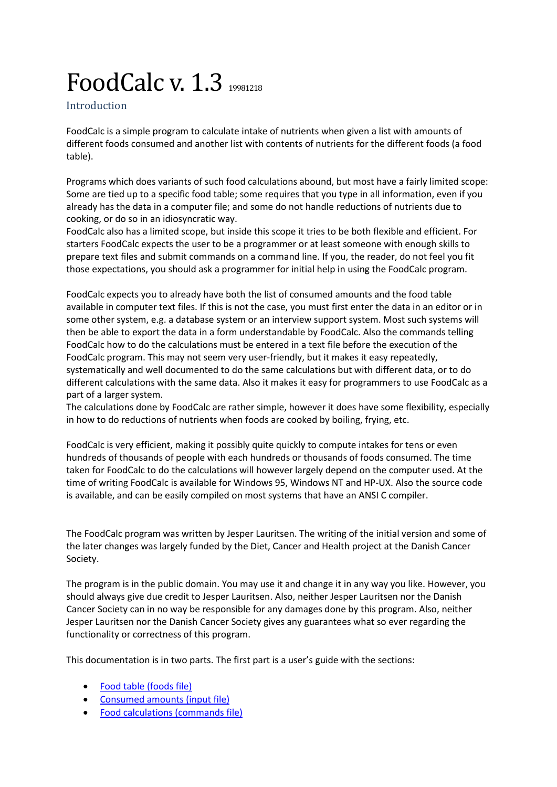# FoodCalc v. 1.3 19981218

Introduction

FoodCalc is a simple program to calculate intake of nutrients when given a list with amounts of different foods consumed and another list with contents of nutrients for the different foods (a food table).

Programs which does variants of such food calculations abound, but most have a fairly limited scope: Some are tied up to a specific food table; some requires that you type in all information, even if you already has the data in a computer file; and some do not handle reductions of nutrients due to cooking, or do so in an idiosyncratic way.

FoodCalc also has a limited scope, but inside this scope it tries to be both flexible and efficient. For starters FoodCalc expects the user to be a programmer or at least someone with enough skills to prepare text files and submit commands on a command line. If you, the reader, do not feel you fit those expectations, you should ask a programmer for initial help in using the FoodCalc program.

FoodCalc expects you to already have both the list of consumed amounts and the food table available in computer text files. If this is not the case, you must first enter the data in an editor or in some other system, e.g. a database system or an interview support system. Most such systems will then be able to export the data in a form understandable by FoodCalc. Also the commands telling FoodCalc how to do the calculations must be entered in a text file before the execution of the FoodCalc program. This may not seem very user-friendly, but it makes it easy repeatedly, systematically and well documented to do the same calculations but with different data, or to do different calculations with the same data. Also it makes it easy for programmers to use FoodCalc as a part of a larger system.

The calculations done by FoodCalc are rather simple, however it does have some flexibility, especially in how to do reductions of nutrients when foods are cooked by boiling, frying, etc.

FoodCalc is very efficient, making it possibly quite quickly to compute intakes for tens or even hundreds of thousands of people with each hundreds or thousands of foods consumed. The time taken for FoodCalc to do the calculations will however largely depend on the computer used. At the time of writing FoodCalc is available for Windows 95, Windows NT and HP-UX. Also the source code is available, and can be easily compiled on most systems that have an ANSI C compiler.

The FoodCalc program was written by Jesper Lauritsen. The writing of the initial version and some of the later changes was largely funded by the Diet, Cancer and Health project at the Danish Cancer Society.

The program is in the public domain. You may use it and change it in any way you like. However, you should always give due credit to Jesper Lauritsen. Also, neither Jesper Lauritsen nor the Danish Cancer Society can in no way be responsible for any damages done by this program. Also, neither Jesper Lauritsen nor the Danish Cancer Society gives any guarantees what so ever regarding the functionality or correctness of this program.

This documentation is in two parts. The first part is a user's guide with the sections:

- [Food table \(foods file\)](#page-2-0)
- [Consumed amounts \(input file\)](#page-2-1)
- [Food calculations \(commands file\)](#page-3-0)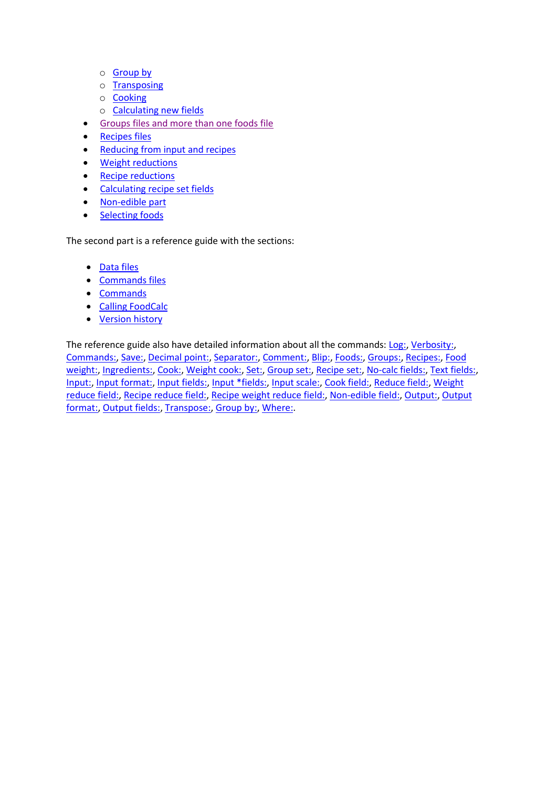- o [Group by](#page-4-0)
- o [Transposing](#page-5-0)
- o [Cooking](#page-5-1)
- o [Calculating new fields](#page-6-0)
- **[Groups files and more than one foods file](#page-7-0)**
- [Recipes files](#page-8-0)
- [Reducing from input and recipes](#page-10-0)
- [Weight reductions](#page-11-0)
- [Recipe reductions](#page-11-1)
- [Calculating recipe set fields](#page-12-0)
- [Non-edible part](#page-12-1)
- [Selecting foods](#page-13-0)

The second part is a reference guide with the sections:

- [Data files](#page-14-0)
- [Commands files](#page-16-0)
- [Commands](#page-16-1)
- [Calling FoodCalc](#page-17-0)
- [Version history](#page-30-0)

The reference guide also have detailed information about all the commands[: Log:,](#page-18-0) [Verbosity:,](#page-18-1) [Commands:,](#page-18-2) [Save:,](#page-19-0) [Decimal point:,](#page-19-1) [Separator:,](#page-19-2) [Comment:,](#page-19-3) [Blip:,](#page-20-0) [Foods:,](#page-20-1) [Groups:,](#page-20-2) [Recipes:,](#page-21-0) [Food](#page-21-1)  [weight:,](#page-21-1) [Ingredients:,](#page-22-0) [Cook:,](#page-22-1) [Weight cook:,](#page-22-2) [Set:,](#page-23-0) [Group set:,](#page-23-1) [Recipe set:,](#page-23-2) [No-calc fields:,](#page-24-0) [Text fields:,](#page-24-1) [Input:,](#page-24-2) [Input format:,](#page-25-0) [Input fields:,](#page-25-1) [Input \\*fields:,](#page-25-2) [Input scale:,](#page-25-3) [Cook field:,](#page-26-0) [Reduce field:,](#page-26-1) [Weight](#page-26-2)  [reduce field:,](#page-26-2) [Recipe reduce field:,](#page-27-0) [Recipe weight reduce field:,](#page-27-1) [Non-edible field:,](#page-27-2) [Output:,](#page-28-0) [Output](#page-28-1)  [format:,](#page-28-1) [Output fields:,](#page-28-2) [Transpose:,](#page-29-0) [Group by:,](#page-29-1) [Where:.](#page-29-2)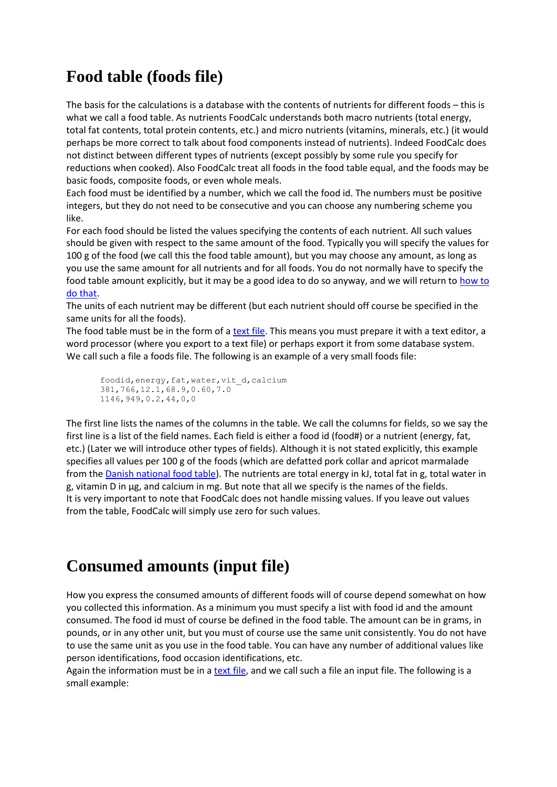# <span id="page-2-0"></span>**Food table (foods file)**

The basis for the calculations is a database with the contents of nutrients for different foods – this is what we call a food table. As nutrients FoodCalc understands both macro nutrients (total energy, total fat contents, total protein contents, etc.) and micro nutrients (vitamins, minerals, etc.) (it would perhaps be more correct to talk about food components instead of nutrients). Indeed FoodCalc does not distinct between different types of nutrients (except possibly by some rule you specify for reductions when cooked). Also FoodCalc treat all foods in the food table equal, and the foods may be basic foods, composite foods, or even whole meals.

Each food must be identified by a number, which we call the food id. The numbers must be positive integers, but they do not need to be consecutive and you can choose any numbering scheme you like.

For each food should be listed the values specifying the contents of each nutrient. All such values should be given with respect to the same amount of the food. Typically you will specify the values for 100 g of the food (we call this the food table amount), but you may choose any amount, as long as you use the same amount for all nutrients and for all foods. You do not normally have to specify the food table amount explicitly, but it may be a good idea to do so anyway, and we will return to how to [do that.](#page-8-0)

The units of each nutrient may be different (but each nutrient should off course be specified in the same units for all the foods).

The food table must be in the form of a [text file.](#page-14-0) This means you must prepare it with a text editor, a word processor (where you export to a text file) or perhaps export it from some database system. We call such a file a foods file. The following is an example of a very small foods file:

foodid, energy, fat, water, vit d, calcium 381,766,12.1,68.9,0.60,7.0 1146,949,0.2,44,0,0

The first line lists the names of the columns in the table. We call the columns for fields, so we say the first line is a list of the field names. Each field is either a food id (food#) or a nutrient (energy, fat, etc.) (Later we will introduce other types of fields). Although it is not stated explicitly, this example specifies all values per 100 g of the foods (which are defatted pork collar and apricot marmalade from th[e Danish national food table\)](https://frida.fooddata.dk/). The nutrients are total energy in kJ, total fat in g, total water in g, vitamin D in µg, and calcium in mg. But note that all we specify is the names of the fields. It is very important to note that FoodCalc does not handle missing values. If you leave out values from the table, FoodCalc will simply use zero for such values.

# <span id="page-2-1"></span>**Consumed amounts (input file)**

How you express the consumed amounts of different foods will of course depend somewhat on how you collected this information. As a minimum you must specify a list with food id and the amount consumed. The food id must of course be defined in the food table. The amount can be in grams, in pounds, or in any other unit, but you must of course use the same unit consistently. You do not have to use the same unit as you use in the food table. You can have any number of additional values like person identifications, food occasion identifications, etc.

Again the information must be in a [text file,](#page-14-0) and we call such a file an input file. The following is a small example: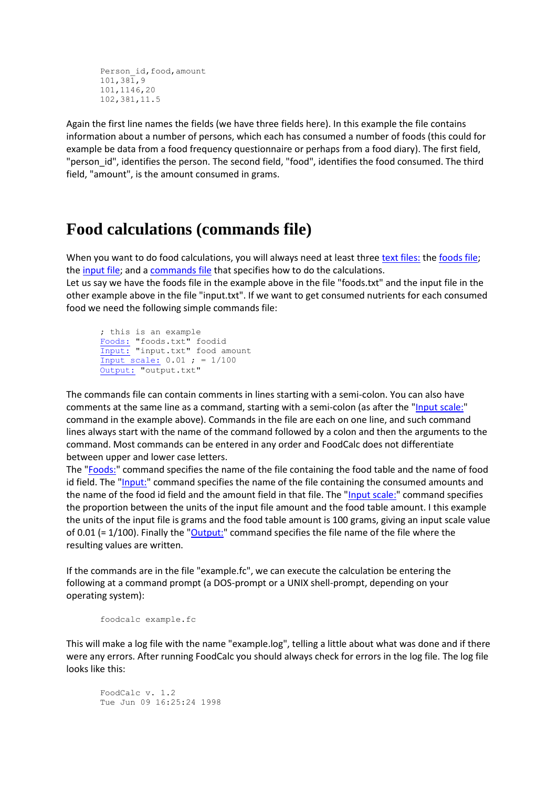```
Person_id,food,amount
101,381,9
101,1146,20
102,381,11.5
```
Again the first line names the fields (we have three fields here). In this example the file contains information about a number of persons, which each has consumed a number of foods (this could for example be data from a food frequency questionnaire or perhaps from a food diary). The first field, "person id", identifies the person. The second field, "food", identifies the food consumed. The third field, "amount", is the amount consumed in grams.

# <span id="page-3-0"></span>**Food calculations (commands file)**

When you want to do food calculations, you will always need at least three [text files:](#page-14-0) th[e foods file;](#page-2-0) the [input file;](#page-2-1) and [a commands file](#page-16-0) that specifies how to do the calculations.

Let us say we have the foods file in the example above in the file "foods.txt" and the input file in the other example above in the file "input.txt". If we want to get consumed nutrients for each consumed food we need the following simple commands file:

; this is an example [Foods:](#page-20-1) "foods.txt" foodid [Input:](#page-24-2) "input.txt" food amount [Input scale:](#page-25-3) 0.01 ; = 1/100 [Output:](#page-28-0) "output.txt"

The commands file can contain comments in lines starting with a semi-colon. You can also have comments at the same line as a command, starting with a semi-colon (as after the ["Input scale:"](#page-25-3) command in the example above). Commands in the file are each on one line, and such command lines always start with the name of the command followed by a colon and then the arguments to the command. Most commands can be entered in any order and FoodCalc does not differentiate between upper and lower case letters.

The ["Foods:"](#page-20-1) command specifies the name of the file containing the food table and the name of food id field. The ["Input:"](#page-24-2) command specifies the name of the file containing the consumed amounts and the name of the food id field and the amount field in that file. The ["Input scale:"](#page-25-3) command specifies the proportion between the units of the input file amount and the food table amount. I this example the units of the input file is grams and the food table amount is 100 grams, giving an input scale value of 0.01 (=  $1/100$ ). Finally the ["Output:"](#page-28-0) command specifies the file name of the file where the resulting values are written.

If the commands are in the file "example.fc", we can execute the calculation be entering the following at a command prompt (a DOS-prompt or a UNIX shell-prompt, depending on your operating system):

```
foodcalc example.fc
```
This will make a log file with the name "example.log", telling a little about what was done and if there were any errors. After running FoodCalc you should always check for errors in the log file. The log file looks like this:

FoodCalc v. 1.2 Tue Jun 09 16:25:24 1998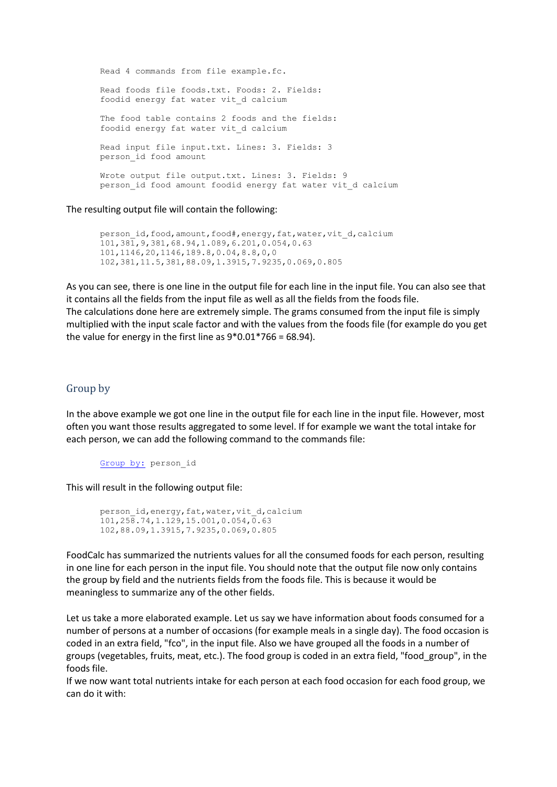```
Read 4 commands from file example.fc.
Read foods file foods.txt. Foods: 2. Fields:
foodid energy fat water vit_d calcium 
The food table contains 2 foods and the fields: 
foodid energy fat water vit_d calcium 
Read input file input.txt. Lines: 3. Fields: 3
person_id food amount 
Wrote output file output.txt. Lines: 3. Fields: 9
person_id food amount foodid energy fat water vit_d calcium
```
The resulting output file will contain the following:

```
person id, food, amount, food#, energy, fat, water, vit d, calcium
101,381,9,381,68.94,1.089,6.201,0.054,0.63
101,1146,20,1146,189.8,0.04,8.8,0,0
102,381,11.5,381,88.09,1.3915,7.9235,0.069,0.805
```
As you can see, there is one line in the output file for each line in the input file. You can also see that it contains all the fields from the input file as well as all the fields from the foods file. The calculations done here are extremely simple. The grams consumed from the input file is simply multiplied with the input scale factor and with the values from the foods file (for example do you get the value for energy in the first line as  $9*0.01*766 = 68.94$ ).

# <span id="page-4-0"></span>Group by

In the above example we got one line in the output file for each line in the input file. However, most often you want those results aggregated to some level. If for example we want the total intake for each person, we can add the following command to the commands file:

[Group by:](#page-29-1) person\_id

This will result in the following output file:

```
person_id,energy,fat,water,vit_d,calcium
101,258.74,1.129,15.001,0.054,0.63
102,88.09,1.3915,7.9235,0.069,0.805
```
FoodCalc has summarized the nutrients values for all the consumed foods for each person, resulting in one line for each person in the input file. You should note that the output file now only contains the group by field and the nutrients fields from the foods file. This is because it would be meaningless to summarize any of the other fields.

Let us take a more elaborated example. Let us say we have information about foods consumed for a number of persons at a number of occasions (for example meals in a single day). The food occasion is coded in an extra field, "fco", in the input file. Also we have grouped all the foods in a number of groups (vegetables, fruits, meat, etc.). The food group is coded in an extra field, "food\_group", in the foods file.

If we now want total nutrients intake for each person at each food occasion for each food group, we can do it with: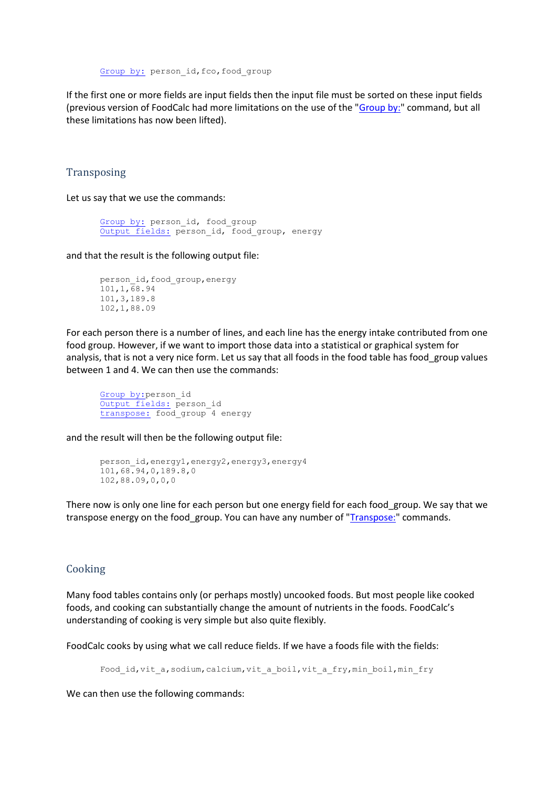[Group by:](#page-29-1) person\_id, fco, food\_group

If the first one or more fields are input fields then the input file must be sorted on these input fields (previous version of FoodCalc had more limitations on the use of the ["Group by:"](#page-29-1) command, but all these limitations has now been lifted).

#### <span id="page-5-0"></span>**Transposing**

Let us say that we use the commands:

```
Group by: person_id, food_group
Output fields: person_id, food_group, energy
```
and that the result is the following output file:

```
person_id,food_group,energy
101,1,68.94
101,3,189.8
102,1,88.09
```
For each person there is a number of lines, and each line has the energy intake contributed from one food group. However, if we want to import those data into a statistical or graphical system for analysis, that is not a very nice form. Let us say that all foods in the food table has food\_group values between 1 and 4. We can then use the commands:

[Group by:p](#page-29-1)erson\_id [Output fields:](#page-28-2) person\_id [transpose:](#page-29-0) food\_group 4 energy

and the result will then be the following output file:

```
person_id,energy1,energy2,energy3,energy4
101,68.94,0,189.8,0
102,88.09,0,0,0
```
There now is only one line for each person but one energy field for each food group. We say that we transpose energy on the food\_group. You can have any number of ["Transpose:"](#page-29-0) commands.

## <span id="page-5-1"></span>Cooking

Many food tables contains only (or perhaps mostly) uncooked foods. But most people like cooked foods, and cooking can substantially change the amount of nutrients in the foods. FoodCalc's understanding of cooking is very simple but also quite flexibly.

FoodCalc cooks by using what we call reduce fields. If we have a foods file with the fields:

Food\_id,vit\_a,sodium,calcium,vit\_a\_boil,vit\_a\_fry,min\_boil,min\_fry

We can then use the following commands: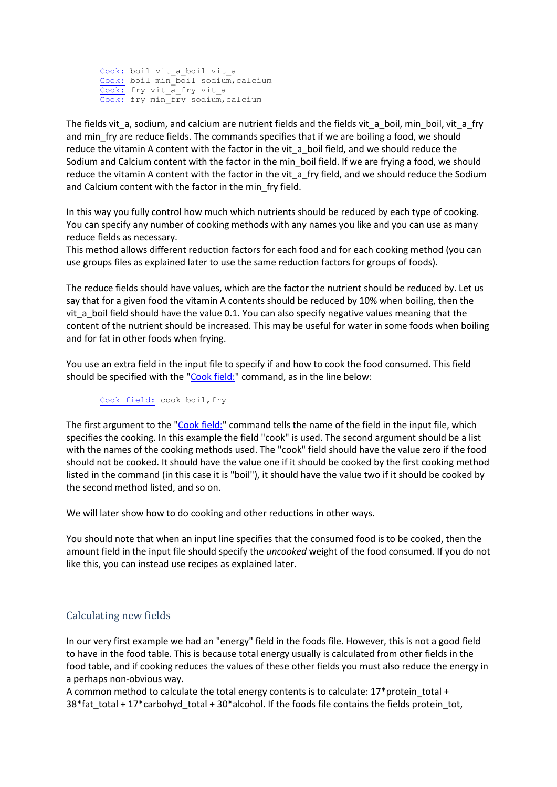[Cook:](#page-22-1) boil vit a boil vit a [Cook:](#page-22-1) boil min\_boil sodium,calcium [Cook:](#page-22-1) fry vit\_a\_fry vit\_a [Cook:](#page-22-1) fry min\_fry sodium,calcium

The fields vit\_a, sodium, and calcium are nutrient fields and the fields vit\_a\_boil, min\_boil, vit\_a\_fry and min fry are reduce fields. The commands specifies that if we are boiling a food, we should reduce the vitamin A content with the factor in the vit\_a\_boil field, and we should reduce the Sodium and Calcium content with the factor in the min boil field. If we are frying a food, we should reduce the vitamin A content with the factor in the vit\_a\_fry field, and we should reduce the Sodium and Calcium content with the factor in the min\_fry field.

In this way you fully control how much which nutrients should be reduced by each type of cooking. You can specify any number of cooking methods with any names you like and you can use as many reduce fields as necessary.

This method allows different reduction factors for each food and for each cooking method (you can use groups files as explained later to use the same reduction factors for groups of foods).

The reduce fields should have values, which are the factor the nutrient should be reduced by. Let us say that for a given food the vitamin A contents should be reduced by 10% when boiling, then the vit a boil field should have the value 0.1. You can also specify negative values meaning that the content of the nutrient should be increased. This may be useful for water in some foods when boiling and for fat in other foods when frying.

You use an extra field in the input file to specify if and how to cook the food consumed. This field should be specified with the ["Cook field:"](#page-26-0) command, as in the line below:

[Cook field:](#page-26-0) cook boil, fry

The first argument to the ["Cook field:"](#page-26-0) command tells the name of the field in the input file, which specifies the cooking. In this example the field "cook" is used. The second argument should be a list with the names of the cooking methods used. The "cook" field should have the value zero if the food should not be cooked. It should have the value one if it should be cooked by the first cooking method listed in the command (in this case it is "boil"), it should have the value two if it should be cooked by the second method listed, and so on.

We will later show how to do cooking and other reductions in other ways.

You should note that when an input line specifies that the consumed food is to be cooked, then the amount field in the input file should specify the *uncooked* weight of the food consumed. If you do not like this, you can instead use recipes as explained later.

# <span id="page-6-0"></span>Calculating new fields

In our very first example we had an "energy" field in the foods file. However, this is not a good field to have in the food table. This is because total energy usually is calculated from other fields in the food table, and if cooking reduces the values of these other fields you must also reduce the energy in a perhaps non-obvious way.

A common method to calculate the total energy contents is to calculate:  $17*$  protein total + 38\*fat\_total + 17\*carbohyd\_total + 30\*alcohol. If the foods file contains the fields protein\_tot,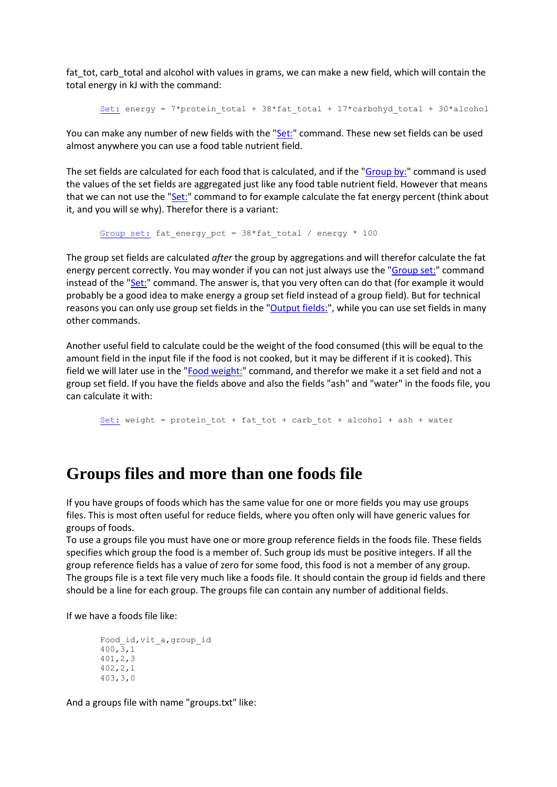fat\_tot, carb\_total and alcohol with values in grams, we can make a new field, which will contain the total energy in kJ with the command:

```
Set: energy = 7*protein total + 38*fat total + 17*carbohyd total + 30*alcohol
```
You can make any number of new fields with the ["Set:"](#page-23-0) command. These new set fields can be used almost anywhere you can use a food table nutrient field.

The set fields are calculated for each food that is calculated, and if the ["Group by:"](#page-29-1) command is used the values of the set fields are aggregated just like any food table nutrient field. However that means that we can not use the ["Set:"](#page-23-0) command to for example calculate the fat energy percent (think about it, and you will se why). Therefor there is a variant:

[Group set:](#page-23-1) fat energy pct =  $38*fat$  total / energy \* 100

The group set fields are calculated *after* the group by aggregations and will therefor calculate the fat energy percent correctly. You may wonder if you can not just always use the ["Group set:"](#page-23-1) command instead of the ["Set:"](#page-23-0) command. The answer is, that you very often can do that (for example it would probably be a good idea to make energy a group set field instead of a group field). But for technical reasons you can only use group set fields in the ["Output fields:"](#page-28-2), while you can use set fields in many other commands.

Another useful field to calculate could be the weight of the food consumed (this will be equal to the amount field in the input file if the food is not cooked, but it may be different if it is cooked). This field we will later use in the ["Food weight:"](#page-21-1) command, and therefor we make it a set field and not a group set field. If you have the fields above and also the fields "ash" and "water" in the foods file, you can calculate it with:

[Set:](#page-23-0) weight = protein\_tot + fat\_tot + carb\_tot + alcohol + ash + water

# <span id="page-7-0"></span>**Groups files and more than one foods file**

If you have groups of foods which has the same value for one or more fields you may use groups files. This is most often useful for reduce fields, where you often only will have generic values for groups of foods.

To use a groups file you must have one or more group reference fields in the foods file. These fields specifies which group the food is a member of. Such group ids must be positive integers. If all the group reference fields has a value of zero for some food, this food is not a member of any group. The groups file is a text file very much like a foods file. It should contain the group id fields and there should be a line for each group. The groups file can contain any number of additional fields.

If we have a foods file like:

```
Food_id,vit_a,group_id
400, 3, 1401,2,3
402,2,1
403,3,0
```
And a groups file with name "groups.txt" like: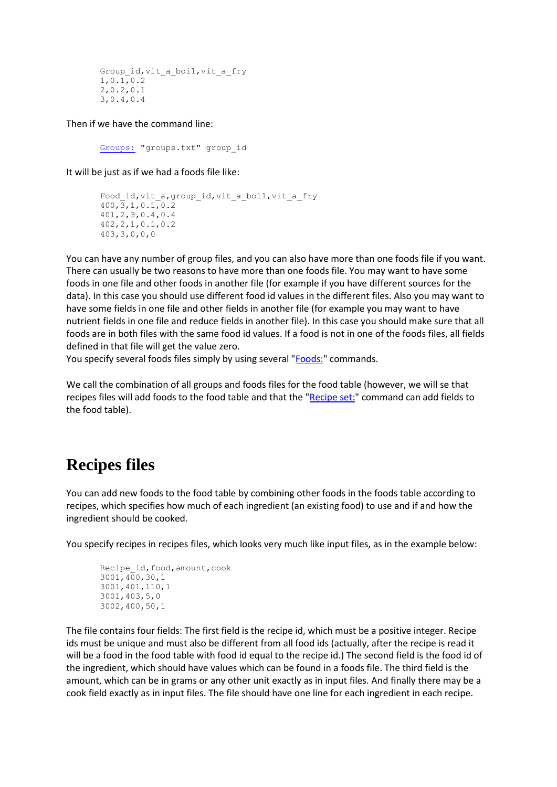```
Group_id,vit_a_boil,vit_a_fry
1,0.1,0.2
2,0.2,0.1
3,0.4,0.4
```
Then if we have the command line:

[Groups:](#page-20-2) "groups.txt" group\_id

It will be just as if we had a foods file like:

```
Food id, vit a, group id, vit a boil, vit a fry
400, 3, 1, 0.1, 0.2401,2,3,0.4,0.4
402,2,1,0.1,0.2
403,3,0,0,0
```
You can have any number of group files, and you can also have more than one foods file if you want. There can usually be two reasons to have more than one foods file. You may want to have some foods in one file and other foods in another file (for example if you have different sources for the data). In this case you should use different food id values in the different files. Also you may want to have some fields in one file and other fields in another file (for example you may want to have nutrient fields in one file and reduce fields in another file). In this case you should make sure that all foods are in both files with the same food id values. If a food is not in one of the foods files, all fields defined in that file will get the value zero.

You specify several foods files simply by using several ["Foods:"](#page-20-1) commands.

We call the combination of all groups and foods files for the food table (however, we will se that recipes files will add foods to the food table and that the ["Recipe set:"](#page-23-2) command can add fields to the food table).

# <span id="page-8-0"></span>**Recipes files**

You can add new foods to the food table by combining other foods in the foods table according to recipes, which specifies how much of each ingredient (an existing food) to use and if and how the ingredient should be cooked.

You specify recipes in recipes files, which looks very much like input files, as in the example below:

```
Recipe id, food, amount, cook
3001,400,30,1
3001,401,110,1
3001,403,5,0
3002,400,50,1
```
The file contains four fields: The first field is the recipe id, which must be a positive integer. Recipe ids must be unique and must also be different from all food ids (actually, after the recipe is read it will be a food in the food table with food id equal to the recipe id.) The second field is the food id of the ingredient, which should have values which can be found in a foods file. The third field is the amount, which can be in grams or any other unit exactly as in input files. And finally there may be a cook field exactly as in input files. The file should have one line for each ingredient in each recipe.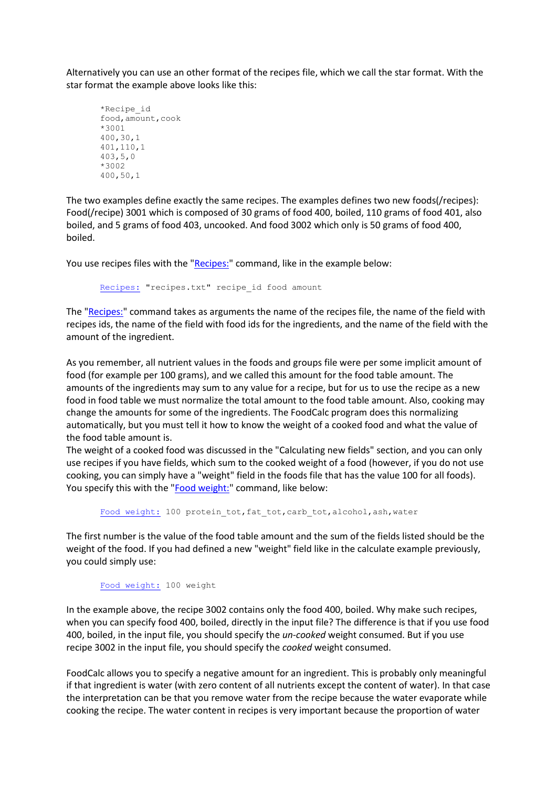Alternatively you can use an other format of the recipes file, which we call the star format. With the star format the example above looks like this:

```
*Recipe_id
food,amount,cook
*3001
400,30,1
401,110,1
403,5,0
*3002
400,50,1
```
The two examples define exactly the same recipes. The examples defines two new foods(/recipes): Food(/recipe) 3001 which is composed of 30 grams of food 400, boiled, 110 grams of food 401, also boiled, and 5 grams of food 403, uncooked. And food 3002 which only is 50 grams of food 400, boiled.

You use recipes files with the ["Recipes:"](#page-21-0) command, like in the example below:

[Recipes:](#page-21-0) "recipes.txt" recipe\_id food amount

The ["Recipes:"](#page-21-0) command takes as arguments the name of the recipes file, the name of the field with recipes ids, the name of the field with food ids for the ingredients, and the name of the field with the amount of the ingredient.

As you remember, all nutrient values in the foods and groups file were per some implicit amount of food (for example per 100 grams), and we called this amount for the food table amount. The amounts of the ingredients may sum to any value for a recipe, but for us to use the recipe as a new food in food table we must normalize the total amount to the food table amount. Also, cooking may change the amounts for some of the ingredients. The FoodCalc program does this normalizing automatically, but you must tell it how to know the weight of a cooked food and what the value of the food table amount is.

The weight of a cooked food was discussed in the "Calculating new fields" section, and you can only use recipes if you have fields, which sum to the cooked weight of a food (however, if you do not use cooking, you can simply have a "weight" field in the foods file that has the value 100 for all foods). You specify this with the ["Food weight:"](#page-21-1) command, like below:

[Food weight:](#page-21-1) 100 protein\_tot,fat\_tot,carb\_tot,alcohol,ash,water

The first number is the value of the food table amount and the sum of the fields listed should be the weight of the food. If you had defined a new "weight" field like in the calculate example previously, you could simply use:

[Food weight:](#page-21-1) 100 weight

In the example above, the recipe 3002 contains only the food 400, boiled. Why make such recipes, when you can specify food 400, boiled, directly in the input file? The difference is that if you use food 400, boiled, in the input file, you should specify the *un-cooked* weight consumed. But if you use recipe 3002 in the input file, you should specify the *cooked* weight consumed.

FoodCalc allows you to specify a negative amount for an ingredient. This is probably only meaningful if that ingredient is water (with zero content of all nutrients except the content of water). In that case the interpretation can be that you remove water from the recipe because the water evaporate while cooking the recipe. The water content in recipes is very important because the proportion of water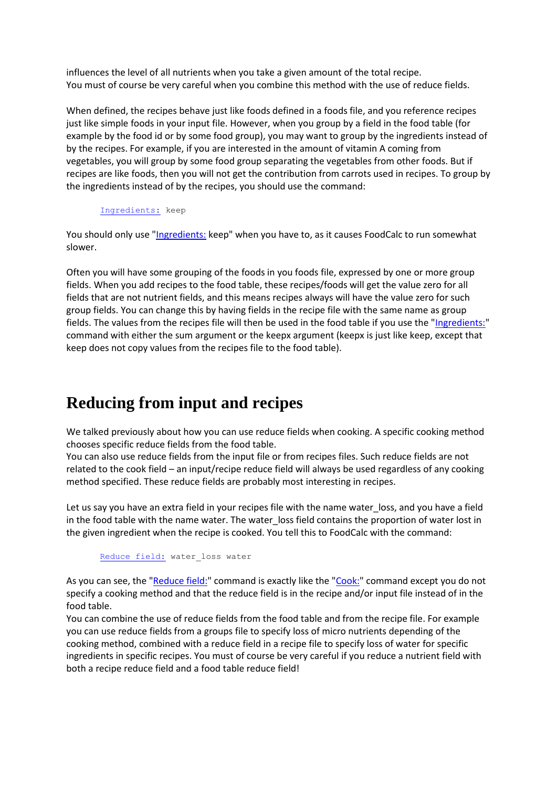influences the level of all nutrients when you take a given amount of the total recipe. You must of course be very careful when you combine this method with the use of reduce fields.

When defined, the recipes behave just like foods defined in a foods file, and you reference recipes just like simple foods in your input file. However, when you group by a field in the food table (for example by the food id or by some food group), you may want to group by the ingredients instead of by the recipes. For example, if you are interested in the amount of vitamin A coming from vegetables, you will group by some food group separating the vegetables from other foods. But if recipes are like foods, then you will not get the contribution from carrots used in recipes. To group by the ingredients instead of by the recipes, you should use the command:

[Ingredients:](#page-22-0) keep

You should only use ["Ingredients:](#page-22-0) keep" when you have to, as it causes FoodCalc to run somewhat slower.

Often you will have some grouping of the foods in you foods file, expressed by one or more group fields. When you add recipes to the food table, these recipes/foods will get the value zero for all fields that are not nutrient fields, and this means recipes always will have the value zero for such group fields. You can change this by having fields in the recipe file with the same name as group fields. The values from the recipes file will then be used in the food table if you use the ["Ingredients:"](#page-22-0) command with either the sum argument or the keepx argument (keepx is just like keep, except that keep does not copy values from the recipes file to the food table).

# <span id="page-10-0"></span>**Reducing from input and recipes**

We talked previously about how you can use reduce fields when cooking. A specific cooking method chooses specific reduce fields from the food table.

You can also use reduce fields from the input file or from recipes files. Such reduce fields are not related to the cook field – an input/recipe reduce field will always be used regardless of any cooking method specified. These reduce fields are probably most interesting in recipes.

Let us say you have an extra field in your recipes file with the name water\_loss, and you have a field in the food table with the name water. The water\_loss field contains the proportion of water lost in the given ingredient when the recipe is cooked. You tell this to FoodCalc with the command:

[Reduce field:](#page-26-1) water\_loss water

As you can see, the ["Reduce field:"](#page-26-1) command is exactly like the ["Cook:"](#page-22-1) command except you do not specify a cooking method and that the reduce field is in the recipe and/or input file instead of in the food table.

You can combine the use of reduce fields from the food table and from the recipe file. For example you can use reduce fields from a groups file to specify loss of micro nutrients depending of the cooking method, combined with a reduce field in a recipe file to specify loss of water for specific ingredients in specific recipes. You must of course be very careful if you reduce a nutrient field with both a recipe reduce field and a food table reduce field!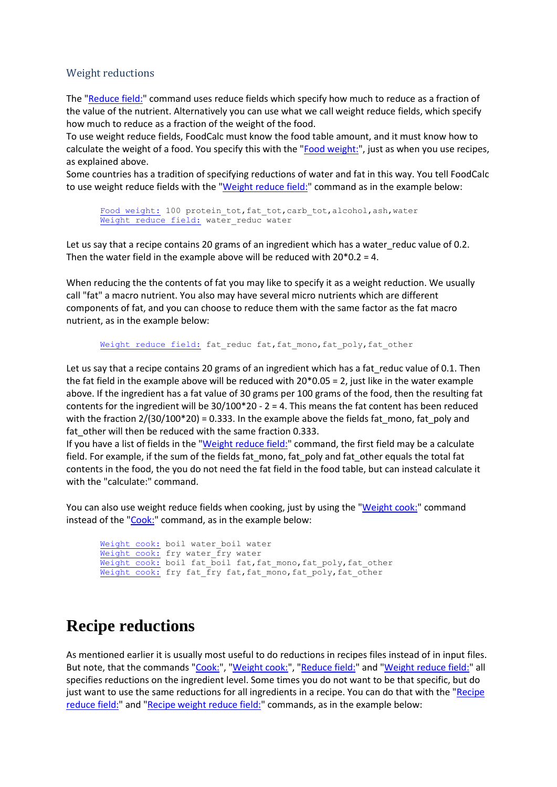## <span id="page-11-0"></span>Weight reductions

The ["Reduce field:"](#page-26-1) command uses reduce fields which specify how much to reduce as a fraction of the value of the nutrient. Alternatively you can use what we call weight reduce fields, which specify how much to reduce as a fraction of the weight of the food.

To use weight reduce fields, FoodCalc must know the food table amount, and it must know how to calculate the weight of a food. You specify this with the ["Food weight:"](#page-21-1), just as when you use recipes, as explained above.

Some countries has a tradition of specifying reductions of water and fat in this way. You tell FoodCalc to use weight reduce fields with the ["Weight reduce field:"](#page-26-2) command as in the example below:

[Food weight:](#page-21-1) 100 protein tot,fat tot,carb tot,alcohol,ash,water [Weight reduce field:](#page-26-2) water\_reduc water

Let us say that a recipe contains 20 grams of an ingredient which has a water\_reduc value of 0.2. Then the water field in the example above will be reduced with 20\*0.2 = 4.

When reducing the the contents of fat you may like to specify it as a weight reduction. We usually call "fat" a macro nutrient. You also may have several micro nutrients which are different components of fat, and you can choose to reduce them with the same factor as the fat macro nutrient, as in the example below:

[Weight reduce field:](#page-26-2) fat reduc fat, fat mono, fat poly, fat other

Let us say that a recipe contains 20 grams of an ingredient which has a fat\_reduc value of 0.1. Then the fat field in the example above will be reduced with 20\*0.05 = 2, just like in the water example above. If the ingredient has a fat value of 30 grams per 100 grams of the food, then the resulting fat contents for the ingredient will be  $30/100*20$  - 2 = 4. This means the fat content has been reduced with the fraction  $2/(30/100*20) = 0.333$ . In the example above the fields fat mono, fat poly and fat other will then be reduced with the same fraction 0.333.

If you have a list of fields in the ["Weight reduce field:"](#page-26-2) command, the first field may be a calculate field. For example, if the sum of the fields fat\_mono, fat\_poly and fat\_other equals the total fat contents in the food, the you do not need the fat field in the food table, but can instead calculate it with the "calculate:" command.

You can also use weight reduce fields when cooking, just by using the ["Weight cook:"](#page-22-2) command instead of the ["Cook:"](#page-22-1) command, as in the example below:

[Weight cook:](#page-22-2) boil water\_boil water [Weight cook:](#page-22-2) fry water\_fry water [Weight cook:](#page-22-2) boil fat boil fat,fat mono,fat poly,fat other [Weight cook:](#page-22-2) fry fat fry fat,fat mono,fat poly,fat other

# <span id="page-11-1"></span>**Recipe reductions**

As mentioned earlier it is usually most useful to do reductions in recipes files instead of in input files. But note, that the commands ["Cook:"](#page-22-1), ["Weight cook:"](#page-22-2), ["Reduce field:"](#page-26-1) and ["Weight reduce field:"](#page-26-2) all specifies reductions on the ingredient level. Some times you do not want to be that specific, but do just want to use the same reductions for all ingredients in a recipe. You can do that with the ["Recipe](#page-27-0)  [reduce field:"](#page-27-0) and ["Recipe weight reduce field:"](#page-27-1) commands, as in the example below: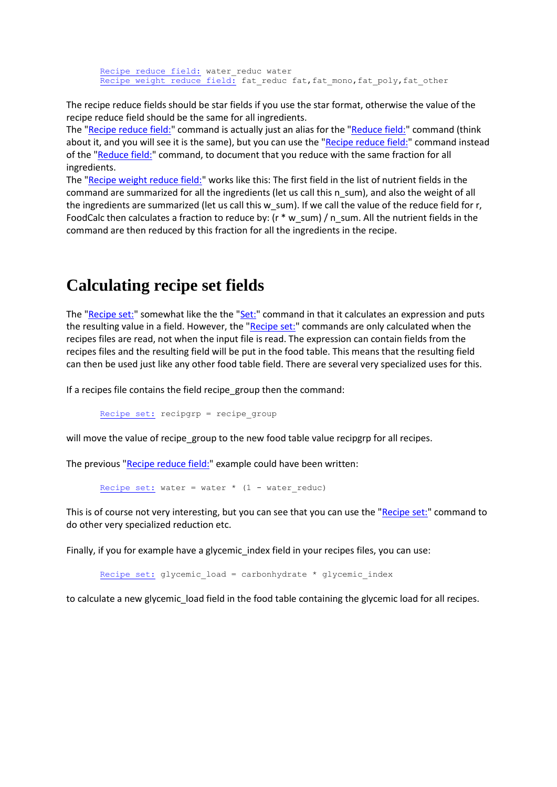[Recipe reduce field:](#page-27-0) water\_reduc water [Recipe weight reduce field:](#page-27-1) fat reduc fat, fat mono, fat poly, fat other

The recipe reduce fields should be star fields if you use the star format, otherwise the value of the recipe reduce field should be the same for all ingredients.

The ["Recipe reduce field:"](#page-27-0) command is actually just an alias for the ["Reduce field:"](#page-26-1) command (think about it, and you will see it is the same), but you can use the ["Recipe reduce field:"](#page-27-0) command instead of the ["Reduce field:"](#page-26-1) command, to document that you reduce with the same fraction for all ingredients.

The ["Recipe weight reduce field:"](#page-27-1) works like this: The first field in the list of nutrient fields in the command are summarized for all the ingredients (let us call this n\_sum), and also the weight of all the ingredients are summarized (let us call this w\_sum). If we call the value of the reduce field for r, FoodCalc then calculates a fraction to reduce by: (r \* w\_sum) / n\_sum. All the nutrient fields in the command are then reduced by this fraction for all the ingredients in the recipe.

# <span id="page-12-0"></span>**Calculating recipe set fields**

The ["Recipe set:"](#page-23-2) somewhat like the the ["Set:"](#page-23-0) command in that it calculates an expression and puts the resulting value in a field. However, the ["Recipe set:"](#page-23-2) commands are only calculated when the recipes files are read, not when the input file is read. The expression can contain fields from the recipes files and the resulting field will be put in the food table. This means that the resulting field can then be used just like any other food table field. There are several very specialized uses for this.

If a recipes file contains the field recipe\_group then the command:

[Recipe set:](#page-23-2) recipgrp = recipe\_group

will move the value of recipe\_group to the new food table value recipgrp for all recipes.

The previous ["Recipe reduce field:"](#page-27-0) example could have been written:

[Recipe set:](#page-23-2) water = water  $*$  (1 - water reduc)

This is of course not very interesting, but you can see that you can use the ["Recipe set:"](#page-23-2) command to do other very specialized reduction etc.

Finally, if you for example have a glycemic index field in your recipes files, you can use:

[Recipe set:](#page-23-2) glycemic\_load = carbonhydrate \* glycemic index

<span id="page-12-1"></span>to calculate a new glycemic load field in the food table containing the glycemic load for all recipes.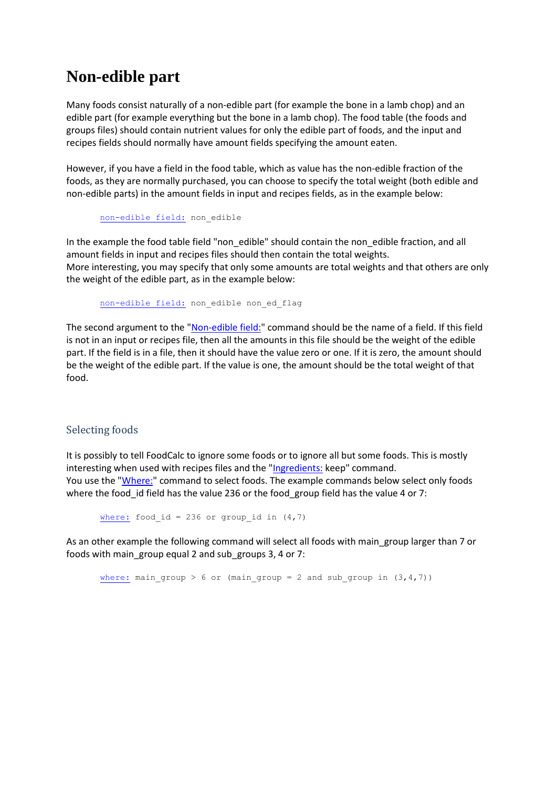# **Non-edible part**

Many foods consist naturally of a non-edible part (for example the bone in a lamb chop) and an edible part (for example everything but the bone in a lamb chop). The food table (the foods and groups files) should contain nutrient values for only the edible part of foods, and the input and recipes fields should normally have amount fields specifying the amount eaten.

However, if you have a field in the food table, which as value has the non-edible fraction of the foods, as they are normally purchased, you can choose to specify the total weight (both edible and non-edible parts) in the amount fields in input and recipes fields, as in the example below:

[non-edible field:](#page-27-2) non\_edible

In the example the food table field "non\_edible" should contain the non\_edible fraction, and all amount fields in input and recipes files should then contain the total weights. More interesting, you may specify that only some amounts are total weights and that others are only the weight of the edible part, as in the example below:

[non-edible field:](#page-27-2) non edible non ed flag

The second argument to the ["Non-edible field:"](#page-27-2) command should be the name of a field. If this field is not in an input or recipes file, then all the amounts in this file should be the weight of the edible part. If the field is in a file, then it should have the value zero or one. If it is zero, the amount should be the weight of the edible part. If the value is one, the amount should be the total weight of that food.

## <span id="page-13-0"></span>Selecting foods

It is possibly to tell FoodCalc to ignore some foods or to ignore all but some foods. This is mostly interesting when used with recipes files and the ["Ingredients:](#page-22-0) keep" command. You use the ["Where:"](#page-29-2) command to select foods. The example commands below select only foods where the food id field has the value 236 or the food group field has the value 4 or 7:

[where:](#page-29-2) food id = 236 or group id in  $(4,7)$ 

As an other example the following command will select all foods with main\_group larger than 7 or foods with main\_group equal 2 and sub\_groups 3, 4 or 7:

[where:](#page-29-2) main\_group > 6 or (main\_group = 2 and sub\_group in  $(3,4,7)$ )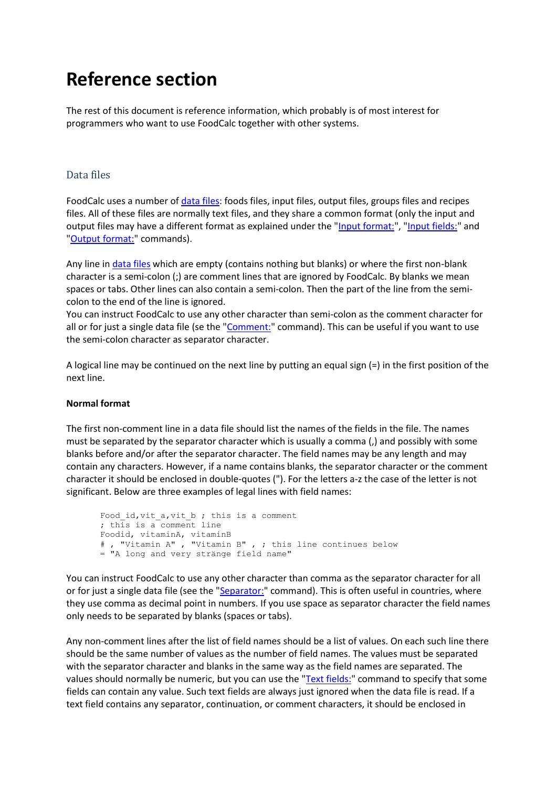# **Reference section**

The rest of this document is reference information, which probably is of most interest for programmers who want to use FoodCalc together with other systems.

# <span id="page-14-0"></span>Data files

FoodCalc uses a number of [data files:](#page-14-0) foods files, input files, output files, groups files and recipes files. All of these files are normally text files, and they share a common format (only the input and output files may have a different format as explained under the ["Input format:"](#page-25-0), ["Input fields:"](#page-25-1) and ["Output format:"](#page-28-1) commands).

Any line in [data files](#page-14-0) which are empty (contains nothing but blanks) or where the first non-blank character is a semi-colon (;) are comment lines that are ignored by FoodCalc. By blanks we mean spaces or tabs. Other lines can also contain a semi-colon. Then the part of the line from the semicolon to the end of the line is ignored.

You can instruct FoodCalc to use any other character than semi-colon as the comment character for all or for just a single data file (se the ["Comment:"](#page-19-3) command). This can be useful if you want to use the semi-colon character as separator character.

A logical line may be continued on the next line by putting an equal sign (=) in the first position of the next line.

## **Normal format**

The first non-comment line in a data file should list the names of the fields in the file. The names must be separated by the separator character which is usually a comma (,) and possibly with some blanks before and/or after the separator character. The field names may be any length and may contain any characters. However, if a name contains blanks, the separator character or the comment character it should be enclosed in double-quotes ("). For the letters a-z the case of the letter is not significant. Below are three examples of legal lines with field names:

```
Food_id,vit_a,vit_b ; this is a comment
; this is a comment line
Foodid, vitaminA, vitaminB
# , "Vitamin A" , "Vitamin B" , ; this line continues below
= "A long and very stränge field name"
```
You can instruct FoodCalc to use any other character than comma as the separator character for all or for just a single data file (see the ["Separator:"](#page-19-2) command). This is often useful in countries, where they use comma as decimal point in numbers. If you use space as separator character the field names only needs to be separated by blanks (spaces or tabs).

Any non-comment lines after the list of field names should be a list of values. On each such line there should be the same number of values as the number of field names. The values must be separated with the separator character and blanks in the same way as the field names are separated. The values should normally be numeric, but you can use the ["Text fields:"](#page-24-1) command to specify that some fields can contain any value. Such text fields are always just ignored when the data file is read. If a text field contains any separator, continuation, or comment characters, it should be enclosed in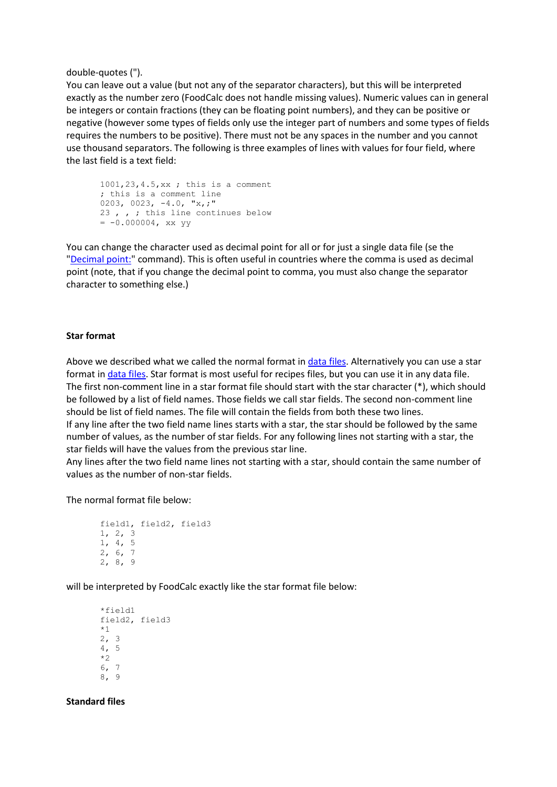double-quotes (").

You can leave out a value (but not any of the separator characters), but this will be interpreted exactly as the number zero (FoodCalc does not handle missing values). Numeric values can in general be integers or contain fractions (they can be floating point numbers), and they can be positive or negative (however some types of fields only use the integer part of numbers and some types of fields requires the numbers to be positive). There must not be any spaces in the number and you cannot use thousand separators. The following is three examples of lines with values for four field, where the last field is a text field:

1001,23,4.5,xx ; this is a comment ; this is a comment line 0203, 0023, -4.0, "x,;" 23 , , ; this line continues below  $= -0.000004$ , xx yy

You can change the character used as decimal point for all or for just a single data file (se the ["Decimal point:"](#page-19-1) command). This is often useful in countries where the comma is used as decimal point (note, that if you change the decimal point to comma, you must also change the separator character to something else.)

#### **Star format**

Above we described what we called the normal format in [data files.](#page-14-0) Alternatively you can use a star format in [data files.](#page-14-0) Star format is most useful for recipes files, but you can use it in any data file. The first non-comment line in a star format file should start with the star character (\*), which should be followed by a list of field names. Those fields we call star fields. The second non-comment line should be list of field names. The file will contain the fields from both these two lines. If any line after the two field name lines starts with a star, the star should be followed by the same number of values, as the number of star fields. For any following lines not starting with a star, the star fields will have the values from the previous star line.

Any lines after the two field name lines not starting with a star, should contain the same number of values as the number of non-star fields.

The normal format file below:

```
field1, field2, field3
1, 2, 3
1, 4, 5
2, 6, 7
2, 8, 9
```
will be interpreted by FoodCalc exactly like the star format file below:

```
*field1
field2, field3
*1
2, 3
4, 5
*2
6, 7
8, 9
```
**Standard files**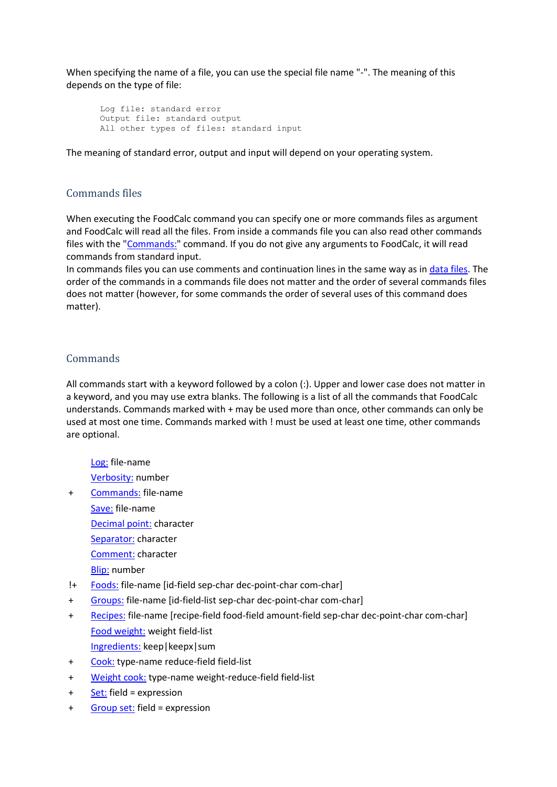When specifying the name of a file, you can use the special file name "-". The meaning of this depends on the type of file:

```
Log file: standard error
Output file: standard output
All other types of files: standard input
```
The meaning of standard error, output and input will depend on your operating system.

## <span id="page-16-0"></span>Commands files

When executing the FoodCalc command you can specify one or more commands files as argument and FoodCalc will read all the files. From inside a commands file you can also read other commands files with the ["Commands:"](#page-18-2) command. If you do not give any arguments to FoodCalc, it will read commands from standard input.

In commands files you can use comments and continuation lines in the same way as in [data files.](#page-14-0) The order of the commands in a commands file does not matter and the order of several commands files does not matter (however, for some commands the order of several uses of this command does matter).

# <span id="page-16-1"></span>**Commands**

All commands start with a keyword followed by a colon (:). Upper and lower case does not matter in a keyword, and you may use extra blanks. The following is a list of all the commands that FoodCalc understands. Commands marked with + may be used more than once, other commands can only be used at most one time. Commands marked with ! must be used at least one time, other commands are optional.

[Log:](#page-18-0) file-name

[Verbosity:](#page-18-1) number

- + [Commands:](#page-18-2) file-name
	- [Save:](#page-19-0) file-name
	- [Decimal point:](#page-19-1) character
	- [Separator:](#page-19-2) character
	- [Comment:](#page-19-3) character
	- [Blip:](#page-20-0) number
- !+ [Foods:](#page-20-1) file-name [id-field sep-char dec-point-char com-char]
- + [Groups:](#page-20-2) file-name [id-field-list sep-char dec-point-char com-char]
- + [Recipes:](#page-21-0) file-name [recipe-field food-field amount-field sep-char dec-point-char com-char] [Food weight:](#page-21-1) weight field-list
	- [Ingredients:](#page-22-0) keep|keepx|sum
- + [Cook:](#page-22-1) type-name reduce-field field-list
- + [Weight cook:](#page-22-2) type-name weight-reduce-field field-list
- + [Set:](#page-23-0) field = expression
- + [Group set:](#page-23-1) field = expression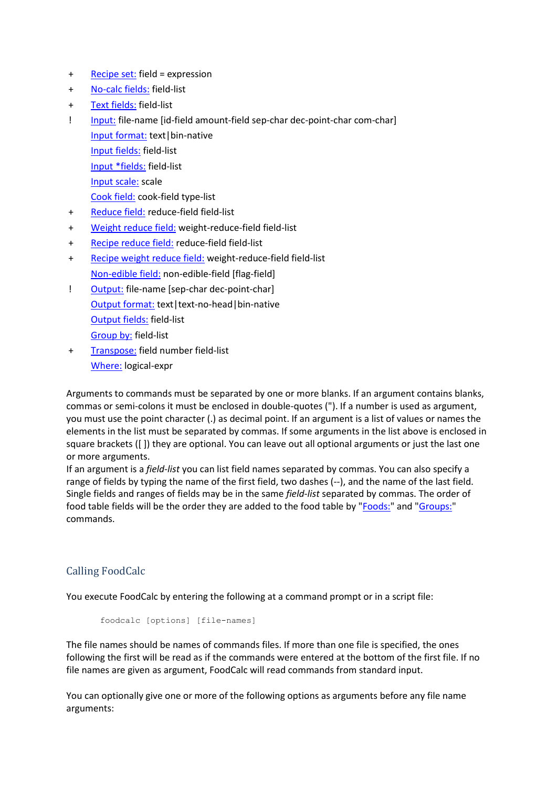- + [Recipe set:](#page-23-2) field = expression
- + [No-calc fields:](#page-24-0) field-list
- + [Text fields:](#page-24-1) field-list
- ! [Input:](#page-24-2) file-name [id-field amount-field sep-char dec-point-char com-char] [Input format:](#page-25-0) text|bin-native [Input fields:](#page-25-1) field-list [Input \\*fields:](#page-25-2) field-list [Input scale:](#page-25-3) scale [Cook field:](#page-26-0) cook-field type-list
- + [Reduce field:](#page-26-1) reduce-field field-list
- + [Weight reduce field:](#page-26-2) weight-reduce-field field-list
- + [Recipe reduce field:](#page-27-0) reduce-field field-list
- + [Recipe weight reduce field:](#page-27-1) weight-reduce-field field-list [Non-edible field:](#page-27-2) non-edible-field [flag-field]
- ! [Output:](#page-28-0) file-name [sep-char dec-point-char] [Output format:](#page-28-1) text|text-no-head|bin-native [Output fields:](#page-28-2) field-list [Group by:](#page-29-1) field-list
- + [Transpose:](#page-29-0) field number field-list [Where:](#page-29-2) logical-expr

Arguments to commands must be separated by one or more blanks. If an argument contains blanks, commas or semi-colons it must be enclosed in double-quotes ("). If a number is used as argument, you must use the point character (.) as decimal point. If an argument is a list of values or names the elements in the list must be separated by commas. If some arguments in the list above is enclosed in square brackets ([ ]) they are optional. You can leave out all optional arguments or just the last one or more arguments.

If an argument is a *field-list* you can list field names separated by commas. You can also specify a range of fields by typing the name of the first field, two dashes (--), and the name of the last field. Single fields and ranges of fields may be in the same *field-list* separated by commas. The order of food table fields will be the order they are added to the food table by "**Foods:**" and ["Groups:"](#page-20-2) commands.

# <span id="page-17-0"></span>Calling FoodCalc

You execute FoodCalc by entering the following at a command prompt or in a script file:

```
foodcalc [options] [file-names]
```
The file names should be names of commands files. If more than one file is specified, the ones following the first will be read as if the commands were entered at the bottom of the first file. If no file names are given as argument, FoodCalc will read commands from standard input.

You can optionally give one or more of the following options as arguments before any file name arguments: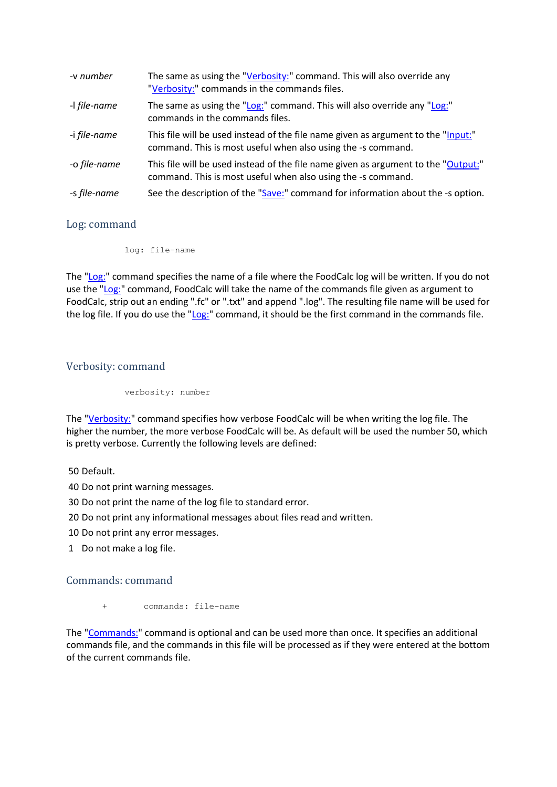| -v number    | The same as using the "Verbosity:" command. This will also override any<br>"Verbosity:" commands in the commands files.                            |
|--------------|----------------------------------------------------------------------------------------------------------------------------------------------------|
| -I file-name | The same as using the "Log:" command. This will also override any "Log:"<br>commands in the commands files.                                        |
| -i file-name | This file will be used instead of the file name given as argument to the "Input:"<br>command. This is most useful when also using the -s command.  |
| -o file-name | This file will be used instead of the file name given as argument to the "Output:"<br>command. This is most useful when also using the -s command. |
| -s file-name | See the description of the "Save:" command for information about the -s option.                                                                    |

# <span id="page-18-0"></span>Log: command

log: file-name

The ["Log:"](#page-18-0) command specifies the name of a file where the FoodCalc log will be written. If you do not use the ["Log:"](#page-18-0) command, FoodCalc will take the name of the commands file given as argument to FoodCalc, strip out an ending ".fc" or ".txt" and append ".log". The resulting file name will be used for the log file. If you do use the ["Log:"](#page-18-0) command, it should be the first command in the commands file.

# <span id="page-18-1"></span>Verbosity: command

verbosity: number

The ["Verbosity:"](#page-18-1) command specifies how verbose FoodCalc will be when writing the log file. The higher the number, the more verbose FoodCalc will be. As default will be used the number 50, which is pretty verbose. Currently the following levels are defined:

50 Default.

40 Do not print warning messages.

30 Do not print the name of the log file to standard error.

20 Do not print any informational messages about files read and written.

10 Do not print any error messages.

<span id="page-18-2"></span>1 Do not make a log file.

## Commands: command

commands: file-name

The ["Commands:"](#page-18-2) command is optional and can be used more than once. It specifies an additional commands file, and the commands in this file will be processed as if they were entered at the bottom of the current commands file.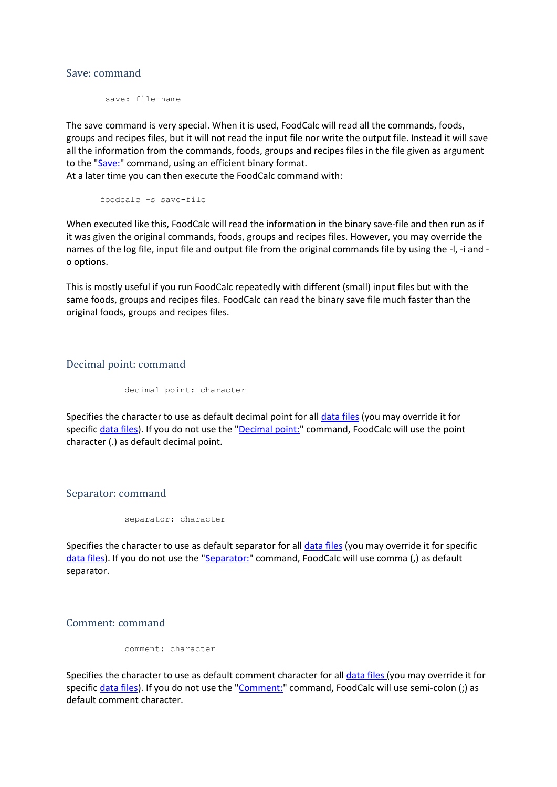#### <span id="page-19-0"></span>Save: command

save: file-name

The save command is very special. When it is used, FoodCalc will read all the commands, foods, groups and recipes files, but it will not read the input file nor write the output file. Instead it will save all the information from the commands, foods, groups and recipes files in the file given as argument to the ["Save:"](#page-19-0) command, using an efficient binary format.

At a later time you can then execute the FoodCalc command with:

foodcalc –s save-file

When executed like this, FoodCalc will read the information in the binary save-file and then run as if it was given the original commands, foods, groups and recipes files. However, you may override the names of the log file, input file and output file from the original commands file by using the -l, -i and o options.

This is mostly useful if you run FoodCalc repeatedly with different (small) input files but with the same foods, groups and recipes files. FoodCalc can read the binary save file much faster than the original foods, groups and recipes files.

<span id="page-19-1"></span>Decimal point: command

decimal point: character

Specifies the character to use as default decimal point for all [data files](#page-14-0) (you may override it for specifi[c data files\)](#page-14-0). If you do not use the ["Decimal point:"](#page-19-1) command, FoodCalc will use the point character (.) as default decimal point.

<span id="page-19-2"></span>Separator: command

separator: character

Specifies the character to use as default separator for all *data files* (you may override it for specific [data files\)](#page-14-0). If you do not use the ["Separator:"](#page-19-2) command, FoodCalc will use comma (,) as default separator.

<span id="page-19-3"></span>Comment: command

comment: character

Specifies the character to use as default comment character for all [data files](#page-14-0) (you may override it for specifi[c data files\)](#page-14-0). If you do not use the ["Comment:"](#page-19-3) command, FoodCalc will use semi-colon (;) as default comment character.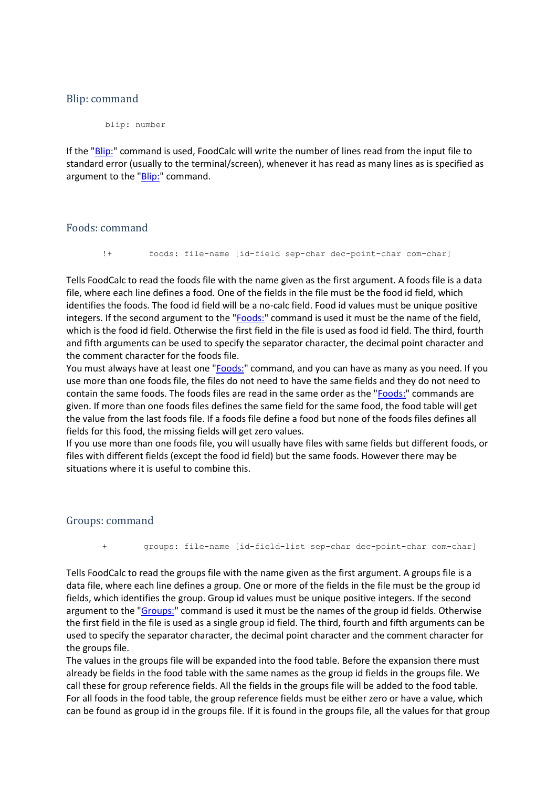## <span id="page-20-0"></span>Blip: command

blip: number

If the ["Blip:"](#page-20-0) command is used, FoodCalc will write the number of lines read from the input file to standard error (usually to the terminal/screen), whenever it has read as many lines as is specified as argument to the ["Blip:"](#page-20-0) command.

#### <span id="page-20-1"></span>Foods: command

!+ foods: file-name [id-field sep-char dec-point-char com-char]

Tells FoodCalc to read the foods file with the name given as the first argument. A foods file is a data file, where each line defines a food. One of the fields in the file must be the food id field, which identifies the foods. The food id field will be a no-calc field. Food id values must be unique positive integers. If the second argument to the ["Foods:"](#page-20-1) command is used it must be the name of the field, which is the food id field. Otherwise the first field in the file is used as food id field. The third, fourth and fifth arguments can be used to specify the separator character, the decimal point character and the comment character for the foods file.

You must always have at least one ["Foods:"](#page-20-1) command, and you can have as many as you need. If you use more than one foods file, the files do not need to have the same fields and they do not need to contain the same foods. The foods files are read in the same order as the ["Foods:"](#page-20-1) commands are given. If more than one foods files defines the same field for the same food, the food table will get the value from the last foods file. If a foods file define a food but none of the foods files defines all fields for this food, the missing fields will get zero values.

If you use more than one foods file, you will usually have files with same fields but different foods, or files with different fields (except the food id field) but the same foods. However there may be situations where it is useful to combine this.

#### <span id="page-20-2"></span>Groups: command

+ groups: file-name [id-field-list sep-char dec-point-char com-char]

Tells FoodCalc to read the groups file with the name given as the first argument. A groups file is a data file, where each line defines a group. One or more of the fields in the file must be the group id fields, which identifies the group. Group id values must be unique positive integers. If the second argument to the ["Groups:"](#page-20-2) command is used it must be the names of the group id fields. Otherwise the first field in the file is used as a single group id field. The third, fourth and fifth arguments can be used to specify the separator character, the decimal point character and the comment character for the groups file.

The values in the groups file will be expanded into the food table. Before the expansion there must already be fields in the food table with the same names as the group id fields in the groups file. We call these for group reference fields. All the fields in the groups file will be added to the food table. For all foods in the food table, the group reference fields must be either zero or have a value, which can be found as group id in the groups file. If it is found in the groups file, all the values for that group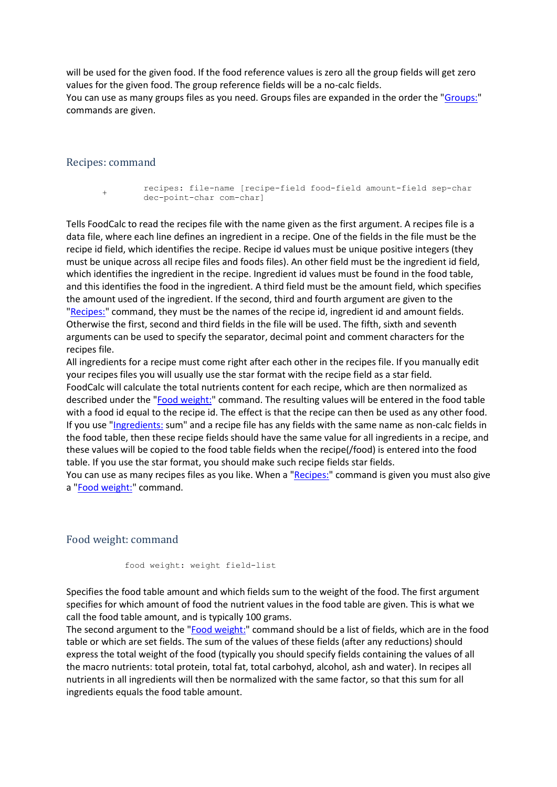will be used for the given food. If the food reference values is zero all the group fields will get zero values for the given food. The group reference fields will be a no-calc fields. You can use as many groups files as you need. Groups files are expanded in the order the ["Groups:"](#page-20-2) commands are given.

#### <span id="page-21-0"></span>Recipes: command

+

recipes: file-name [recipe-field food-field amount-field sep-char dec-point-char com-char]

Tells FoodCalc to read the recipes file with the name given as the first argument. A recipes file is a data file, where each line defines an ingredient in a recipe. One of the fields in the file must be the recipe id field, which identifies the recipe. Recipe id values must be unique positive integers (they must be unique across all recipe files and foods files). An other field must be the ingredient id field, which identifies the ingredient in the recipe. Ingredient id values must be found in the food table, and this identifies the food in the ingredient. A third field must be the amount field, which specifies the amount used of the ingredient. If the second, third and fourth argument are given to the ["Recipes:"](#page-21-0) command, they must be the names of the recipe id, ingredient id and amount fields. Otherwise the first, second and third fields in the file will be used. The fifth, sixth and seventh arguments can be used to specify the separator, decimal point and comment characters for the recipes file.

All ingredients for a recipe must come right after each other in the recipes file. If you manually edit your recipes files you will usually use the star format with the recipe field as a star field. FoodCalc will calculate the total nutrients content for each recipe, which are then normalized as described under the ["Food weight:"](#page-21-1) command. The resulting values will be entered in the food table with a food id equal to the recipe id. The effect is that the recipe can then be used as any other food. If you use ["Ingredients:](#page-22-0) sum" and a recipe file has any fields with the same name as non-calc fields in the food table, then these recipe fields should have the same value for all ingredients in a recipe, and these values will be copied to the food table fields when the recipe(/food) is entered into the food table. If you use the star format, you should make such recipe fields star fields.

You can use as many recipes files as you like. When a ["Recipes:"](#page-21-0) command is given you must also give a ["Food weight:"](#page-21-1) command.

#### <span id="page-21-1"></span>Food weight: command

food weight: weight field-list

Specifies the food table amount and which fields sum to the weight of the food. The first argument specifies for which amount of food the nutrient values in the food table are given. This is what we call the food table amount, and is typically 100 grams.

The second argument to the ["Food weight:"](#page-21-1) command should be a list of fields, which are in the food table or which are set fields. The sum of the values of these fields (after any reductions) should express the total weight of the food (typically you should specify fields containing the values of all the macro nutrients: total protein, total fat, total carbohyd, alcohol, ash and water). In recipes all nutrients in all ingredients will then be normalized with the same factor, so that this sum for all ingredients equals the food table amount.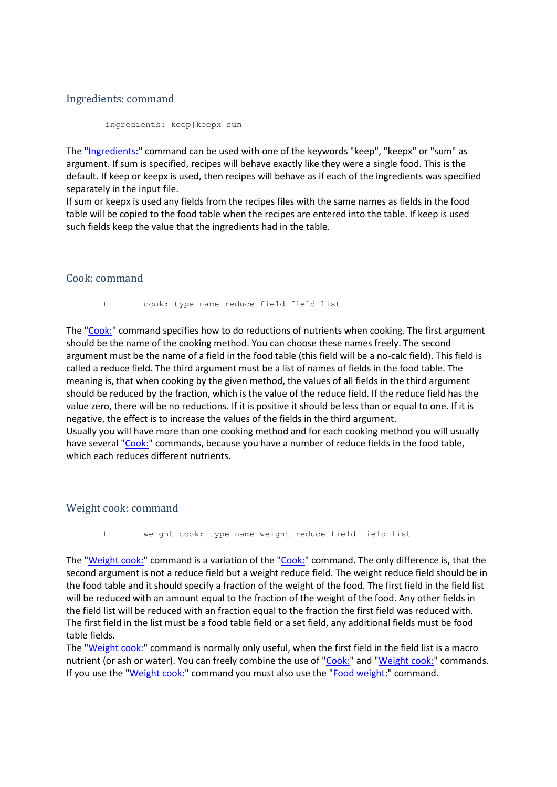#### <span id="page-22-0"></span>Ingredients: command

ingredients: keep|keepx|sum

The ["Ingredients:"](#page-22-0) command can be used with one of the keywords "keep", "keepx" or "sum" as argument. If sum is specified, recipes will behave exactly like they were a single food. This is the default. If keep or keepx is used, then recipes will behave as if each of the ingredients was specified separately in the input file.

If sum or keepx is used any fields from the recipes files with the same names as fields in the food table will be copied to the food table when the recipes are entered into the table. If keep is used such fields keep the value that the ingredients had in the table.

#### <span id="page-22-1"></span>Cook: command

cook: type-name reduce-field field-list

The ["Cook:"](#page-22-1) command specifies how to do reductions of nutrients when cooking. The first argument should be the name of the cooking method. You can choose these names freely. The second argument must be the name of a field in the food table (this field will be a no-calc field). This field is called a reduce field. The third argument must be a list of names of fields in the food table. The meaning is, that when cooking by the given method, the values of all fields in the third argument should be reduced by the fraction, which is the value of the reduce field. If the reduce field has the value zero, there will be no reductions. If it is positive it should be less than or equal to one. If it is negative, the effect is to increase the values of the fields in the third argument. Usually you will have more than one cooking method and for each cooking method you will usually have several ["Cook:"](#page-22-1) commands, because you have a number of reduce fields in the food table, which each reduces different nutrients.

#### <span id="page-22-2"></span>Weight cook: command

+ weight cook: type-name weight-reduce-field field-list

The ["Weight cook:"](#page-22-2) command is a variation of the ["Cook:"](#page-22-1) command. The only difference is, that the second argument is not a reduce field but a weight reduce field. The weight reduce field should be in the food table and it should specify a fraction of the weight of the food. The first field in the field list will be reduced with an amount equal to the fraction of the weight of the food. Any other fields in the field list will be reduced with an fraction equal to the fraction the first field was reduced with. The first field in the list must be a food table field or a set field, any additional fields must be food table fields.

The ["Weight cook:"](#page-22-2) command is normally only useful, when the first field in the field list is a macro nutrient (or ash or water). You can freely combine the use of ["Cook:"](#page-22-1) and ["Weight cook:"](#page-22-2) commands. If you use the ["Weight cook:"](#page-22-2) command you must also use the ["Food weight:"](#page-21-1) command.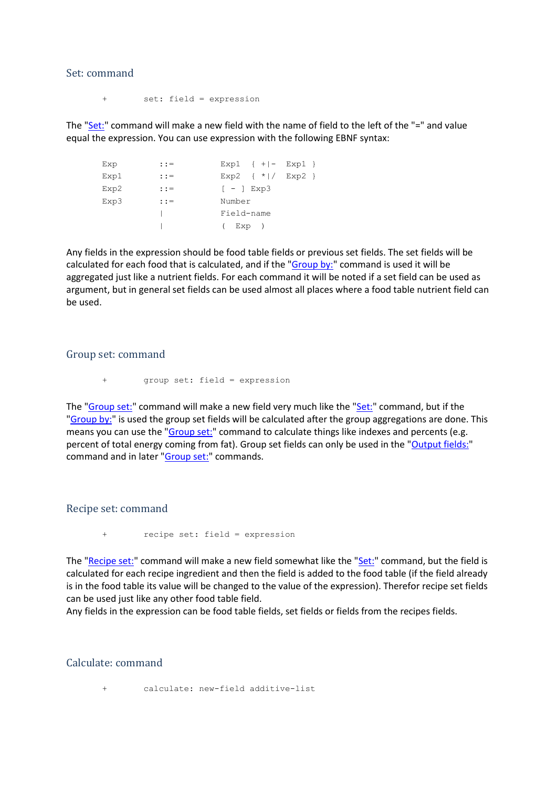#### <span id="page-23-0"></span>Set: command

+ set: field = expression

The " $Set$ " command will make a new field with the name of field to the left of the "=" and value equal the expression. You can use expression with the following EBNF syntax:

| Exp  | $: :=$  | Exp1 $\{ + -$ Exp1 $\}$ |
|------|---------|-------------------------|
| Exp1 | $: : =$ | Exp2 $\{ *   / Exp2 \}$ |
| Exp2 | $: : =$ | $[-]$ Exp3              |
| Exp3 | $: : =$ | Number                  |
|      |         | Field-name              |
|      |         | Exp )<br>$\overline{ }$ |

Any fields in the expression should be food table fields or previous set fields. The set fields will be calculated for each food that is calculated, and if the ["Group by:"](#page-29-1) command is used it will be aggregated just like a nutrient fields. For each command it will be noted if a set field can be used as argument, but in general set fields can be used almost all places where a food table nutrient field can be used.

#### <span id="page-23-1"></span>Group set: command

+ group set: field = expression

The ["Group set:"](#page-23-1) command will make a new field very much like the ["Set:"](#page-23-0) command, but if the ["Group by:"](#page-29-1) is used the group set fields will be calculated after the group aggregations are done. This means you can use the ["Group set:"](#page-23-1) command to calculate things like indexes and percents (e.g. percent of total energy coming from fat). Group set fields can only be used in the ["Output fields:"](#page-28-2) command and in later ["Group set:"](#page-23-1) commands.

#### <span id="page-23-2"></span>Recipe set: command

+ recipe set: field = expression

The ["Recipe set:"](#page-23-2) command will make a new field somewhat like the ["Set:"](#page-23-0) command, but the field is calculated for each recipe ingredient and then the field is added to the food table (if the field already is in the food table its value will be changed to the value of the expression). Therefor recipe set fields can be used just like any other food table field.

Any fields in the expression can be food table fields, set fields or fields from the recipes fields.

#### Calculate: command

calculate: new-field additive-list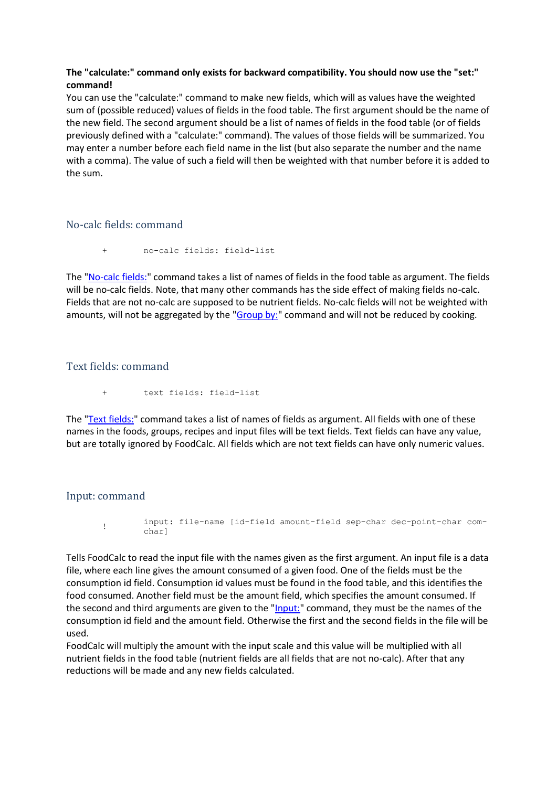### **The "calculate:" command only exists for backward compatibility. You should now use the "set:" command!**

You can use the "calculate:" command to make new fields, which will as values have the weighted sum of (possible reduced) values of fields in the food table. The first argument should be the name of the new field. The second argument should be a list of names of fields in the food table (or of fields previously defined with a "calculate:" command). The values of those fields will be summarized. You may enter a number before each field name in the list (but also separate the number and the name with a comma). The value of such a field will then be weighted with that number before it is added to the sum.

# <span id="page-24-0"></span>No-calc fields: command

+ no-calc fields: field-list

The ["No-calc fields:"](#page-24-0) command takes a list of names of fields in the food table as argument. The fields will be no-calc fields. Note, that many other commands has the side effect of making fields no-calc. Fields that are not no-calc are supposed to be nutrient fields. No-calc fields will not be weighted with amounts, will not be aggregated by the ["Group by:"](#page-29-1) command and will not be reduced by cooking.

# <span id="page-24-1"></span>Text fields: command

text fields: field-list

The ["Text fields:"](#page-24-1) command takes a list of names of fields as argument. All fields with one of these names in the foods, groups, recipes and input files will be text fields. Text fields can have any value, but are totally ignored by FoodCalc. All fields which are not text fields can have only numeric values.

## <span id="page-24-2"></span>Input: command

! input: file-name [id-field amount-field sep-char dec-point-char comchar]

Tells FoodCalc to read the input file with the names given as the first argument. An input file is a data file, where each line gives the amount consumed of a given food. One of the fields must be the consumption id field. Consumption id values must be found in the food table, and this identifies the food consumed. Another field must be the amount field, which specifies the amount consumed. If the second and third arguments are given to the ["Input:"](#page-24-2) command, they must be the names of the consumption id field and the amount field. Otherwise the first and the second fields in the file will be used.

FoodCalc will multiply the amount with the input scale and this value will be multiplied with all nutrient fields in the food table (nutrient fields are all fields that are not no-calc). After that any reductions will be made and any new fields calculated.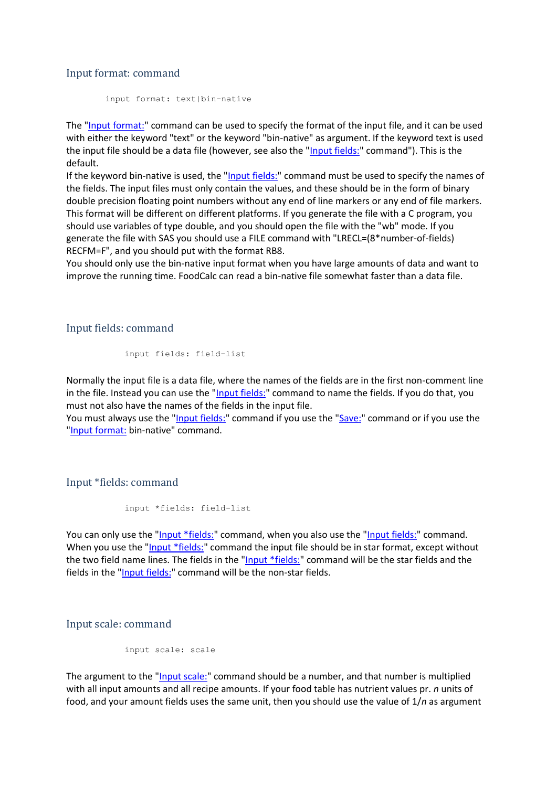#### <span id="page-25-0"></span>Input format: command

input format: text|bin-native

The ["Input format:"](#page-25-0) command can be used to specify the format of the input file, and it can be used with either the keyword "text" or the keyword "bin-native" as argument. If the keyword text is used the input file should be a data file (however, see also the ["Input fields:"](#page-25-1) command"). This is the default.

If the keyword bin-native is used, the ["Input fields:"](#page-25-1) command must be used to specify the names of the fields. The input files must only contain the values, and these should be in the form of binary double precision floating point numbers without any end of line markers or any end of file markers. This format will be different on different platforms. If you generate the file with a C program, you should use variables of type double, and you should open the file with the "wb" mode. If you generate the file with SAS you should use a FILE command with "LRECL=(8\*number-of-fields) RECFM=F", and you should put with the format RB8.

You should only use the bin-native input format when you have large amounts of data and want to improve the running time. FoodCalc can read a bin-native file somewhat faster than a data file.

#### <span id="page-25-1"></span>Input fields: command

```
input fields: field-list
```
Normally the input file is a data file, where the names of the fields are in the first non-comment line in the file. Instead you can use the ["Input fields:"](#page-25-1) command to name the fields. If you do that, you must not also have the names of the fields in the input file.

You must always use the ["Input fields:"](#page-25-1) command if you use the ["Save:"](#page-19-0) command or if you use the ["Input format:](#page-25-0) bin-native" command.

<span id="page-25-2"></span>Input \*fields: command

```
input *fields: field-list
```
You can only use the ["Input \\*fields:"](#page-25-2) command, when you also use the ["Input fields:"](#page-25-1) command. When you use the ["Input \\*fields:"](#page-25-2) command the input file should be in star format, except without the two field name lines. The fields in the ["Input \\*fields:"](#page-25-2) command will be the star fields and the fields in the ["Input fields:"](#page-25-1) command will be the non-star fields.

<span id="page-25-3"></span>Input scale: command

input scale: scale

The argument to the "*Input scale:*" command should be a number, and that number is multiplied with all input amounts and all recipe amounts. If your food table has nutrient values pr. *n* units of food, and your amount fields uses the same unit, then you should use the value of 1/*n* as argument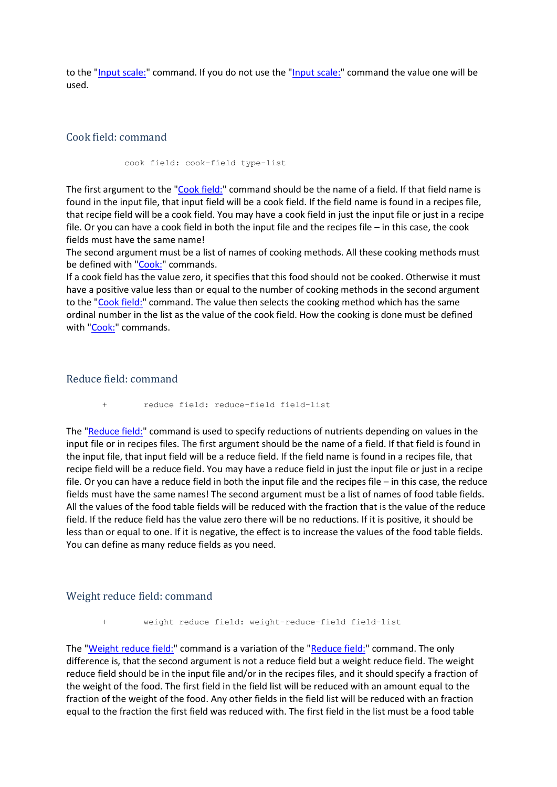to the ["Input scale:"](#page-25-3) command. If you do not use the "Input scale:" command the value one will be used.

### <span id="page-26-0"></span>Cook field: command

cook field: cook-field type-list

The first argument to the ["Cook field:"](#page-26-0) command should be the name of a field. If that field name is found in the input file, that input field will be a cook field. If the field name is found in a recipes file, that recipe field will be a cook field. You may have a cook field in just the input file or just in a recipe file. Or you can have a cook field in both the input file and the recipes file – in this case, the cook fields must have the same name!

The second argument must be a list of names of cooking methods. All these cooking methods must be defined with ["Cook:"](#page-22-1) commands.

If a cook field has the value zero, it specifies that this food should not be cooked. Otherwise it must have a positive value less than or equal to the number of cooking methods in the second argument to the ["Cook field:"](#page-26-0) command. The value then selects the cooking method which has the same ordinal number in the list as the value of the cook field. How the cooking is done must be defined with ["Cook:"](#page-22-1) commands.

#### <span id="page-26-1"></span>Reduce field: command

+ reduce field: reduce-field field-list

The ["Reduce field:"](#page-26-1) command is used to specify reductions of nutrients depending on values in the input file or in recipes files. The first argument should be the name of a field. If that field is found in the input file, that input field will be a reduce field. If the field name is found in a recipes file, that recipe field will be a reduce field. You may have a reduce field in just the input file or just in a recipe file. Or you can have a reduce field in both the input file and the recipes file – in this case, the reduce fields must have the same names! The second argument must be a list of names of food table fields. All the values of the food table fields will be reduced with the fraction that is the value of the reduce field. If the reduce field has the value zero there will be no reductions. If it is positive, it should be less than or equal to one. If it is negative, the effect is to increase the values of the food table fields. You can define as many reduce fields as you need.

#### <span id="page-26-2"></span>Weight reduce field: command

weight reduce field: weight-reduce-field field-list

The ["Weight reduce field:"](#page-26-2) command is a variation of the ["Reduce field:"](#page-26-1) command. The only difference is, that the second argument is not a reduce field but a weight reduce field. The weight reduce field should be in the input file and/or in the recipes files, and it should specify a fraction of the weight of the food. The first field in the field list will be reduced with an amount equal to the fraction of the weight of the food. Any other fields in the field list will be reduced with an fraction equal to the fraction the first field was reduced with. The first field in the list must be a food table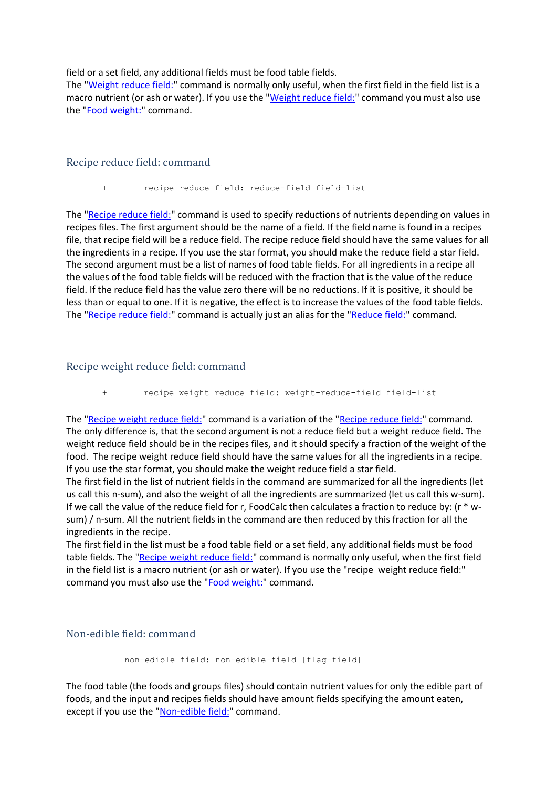field or a set field, any additional fields must be food table fields.

The ["Weight reduce field:"](#page-26-2) command is normally only useful, when the first field in the field list is a macro nutrient (or ash or water). If you use the ["Weight reduce field:"](#page-26-2) command you must also use the ["Food weight:"](#page-21-1) command.

#### <span id="page-27-0"></span>Recipe reduce field: command

recipe reduce field: reduce-field field-list

The ["Recipe reduce field:"](#page-27-0) command is used to specify reductions of nutrients depending on values in recipes files. The first argument should be the name of a field. If the field name is found in a recipes file, that recipe field will be a reduce field. The recipe reduce field should have the same values for all the ingredients in a recipe. If you use the star format, you should make the reduce field a star field. The second argument must be a list of names of food table fields. For all ingredients in a recipe all the values of the food table fields will be reduced with the fraction that is the value of the reduce field. If the reduce field has the value zero there will be no reductions. If it is positive, it should be less than or equal to one. If it is negative, the effect is to increase the values of the food table fields. The ["Recipe reduce field:"](#page-27-0) command is actually just an alias for the ["Reduce field:"](#page-26-1) command.

## <span id="page-27-1"></span>Recipe weight reduce field: command

recipe weight reduce field: weight-reduce-field field-list

The ["Recipe weight reduce field:"](#page-27-1) command is a variation of the ["Recipe reduce field:"](#page-27-0) command. The only difference is, that the second argument is not a reduce field but a weight reduce field. The weight reduce field should be in the recipes files, and it should specify a fraction of the weight of the food. The recipe weight reduce field should have the same values for all the ingredients in a recipe. If you use the star format, you should make the weight reduce field a star field.

The first field in the list of nutrient fields in the command are summarized for all the ingredients (let us call this n-sum), and also the weight of all the ingredients are summarized (let us call this w-sum). If we call the value of the reduce field for r, FoodCalc then calculates a fraction to reduce by: (r \* wsum) / n-sum. All the nutrient fields in the command are then reduced by this fraction for all the ingredients in the recipe.

The first field in the list must be a food table field or a set field, any additional fields must be food table fields. The ["Recipe weight reduce field:"](#page-27-1) command is normally only useful, when the first field in the field list is a macro nutrient (or ash or water). If you use the "recipe weight reduce field:" command you must also use the ["Food weight:"](#page-21-1) command.

# <span id="page-27-2"></span>Non-edible field: command

```
non-edible field: non-edible-field [flag-field]
```
The food table (the foods and groups files) should contain nutrient values for only the edible part of foods, and the input and recipes fields should have amount fields specifying the amount eaten, except if you use the ["Non-edible field:"](#page-27-2) command.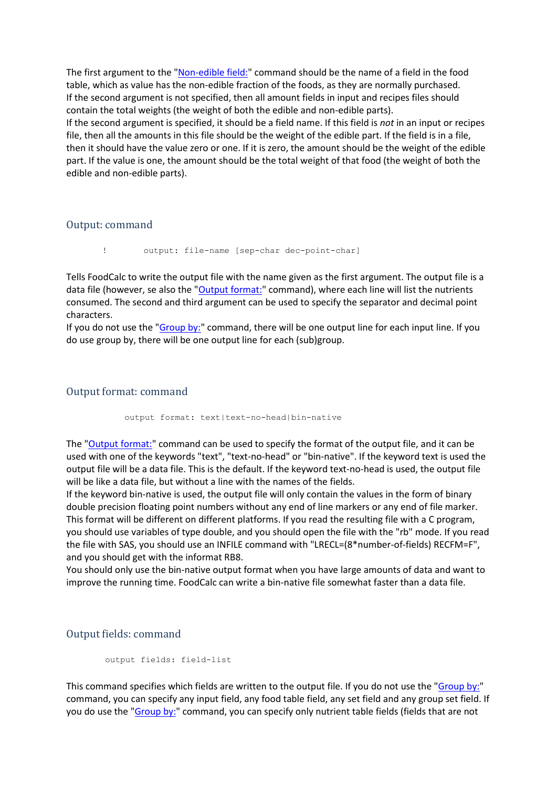The first argument to the ["Non-edible field:"](#page-27-2) command should be the name of a field in the food table, which as value has the non-edible fraction of the foods, as they are normally purchased. If the second argument is not specified, then all amount fields in input and recipes files should contain the total weights (the weight of both the edible and non-edible parts). If the second argument is specified, it should be a field name. If this field is *not* in an input or recipes file, then all the amounts in this file should be the weight of the edible part. If the field is in a file, then it should have the value zero or one. If it is zero, the amount should be the weight of the edible part. If the value is one, the amount should be the total weight of that food (the weight of both the edible and non-edible parts).

<span id="page-28-0"></span>Output: command

! output: file-name [sep-char dec-point-char]

Tells FoodCalc to write the output file with the name given as the first argument. The output file is a data file (however, se also the ["Output format:"](#page-28-1) command), where each line will list the nutrients consumed. The second and third argument can be used to specify the separator and decimal point characters.

If you do not use the ["Group by:"](#page-29-1) command, there will be one output line for each input line. If you do use group by, there will be one output line for each (sub)group.

#### <span id="page-28-1"></span>Output format: command

output format: text|text-no-head|bin-native

The ["Output format:"](#page-28-1) command can be used to specify the format of the output file, and it can be used with one of the keywords "text", "text-no-head" or "bin-native". If the keyword text is used the output file will be a data file. This is the default. If the keyword text-no-head is used, the output file will be like a data file, but without a line with the names of the fields.

If the keyword bin-native is used, the output file will only contain the values in the form of binary double precision floating point numbers without any end of line markers or any end of file marker. This format will be different on different platforms. If you read the resulting file with a C program, you should use variables of type double, and you should open the file with the "rb" mode. If you read the file with SAS, you should use an INFILE command with "LRECL=(8\*number-of-fields) RECFM=F", and you should get with the informat RB8.

You should only use the bin-native output format when you have large amounts of data and want to improve the running time. FoodCalc can write a bin-native file somewhat faster than a data file.

#### <span id="page-28-2"></span>Output fields: command

```
output fields: field-list
```
This command specifies which fields are written to the output file. If you do not use the ["Group by:"](#page-29-1) command, you can specify any input field, any food table field, any set field and any group set field. If you do use the ["Group by:"](#page-29-1) command, you can specify only nutrient table fields (fields that are not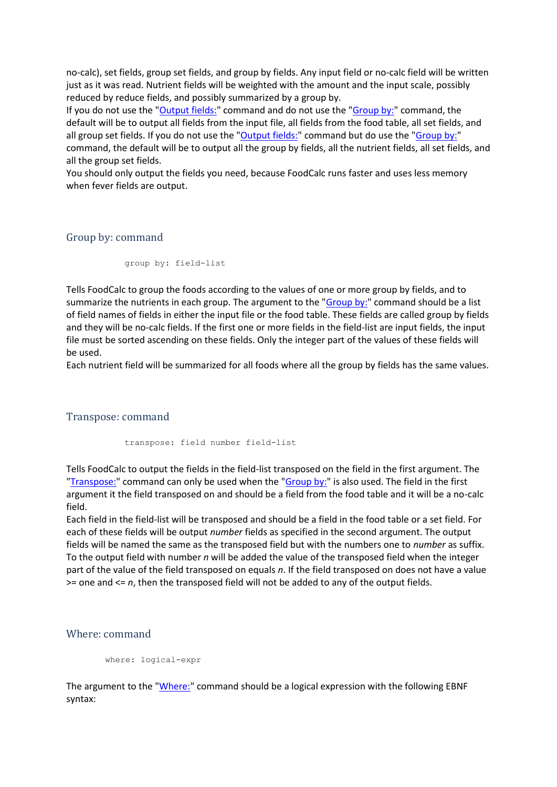no-calc), set fields, group set fields, and group by fields. Any input field or no-calc field will be written just as it was read. Nutrient fields will be weighted with the amount and the input scale, possibly reduced by reduce fields, and possibly summarized by a group by.

If you do not use the ["Output fields:"](#page-28-2) command and do not use the ["Group by:"](#page-29-1) command, the default will be to output all fields from the input file, all fields from the food table, all set fields, and all group set fields. If you do not use the ["Output fields:"](#page-28-2) command but do use the ["Group by:"](#page-29-1) command, the default will be to output all the group by fields, all the nutrient fields, all set fields, and all the group set fields.

You should only output the fields you need, because FoodCalc runs faster and uses less memory when fever fields are output.

#### <span id="page-29-1"></span>Group by: command

group by: field-list

Tells FoodCalc to group the foods according to the values of one or more group by fields, and to summarize the nutrients in each group. The argument to the ["Group by:"](#page-29-1) command should be a list of field names of fields in either the input file or the food table. These fields are called group by fields and they will be no-calc fields. If the first one or more fields in the field-list are input fields, the input file must be sorted ascending on these fields. Only the integer part of the values of these fields will be used.

Each nutrient field will be summarized for all foods where all the group by fields has the same values.

#### <span id="page-29-0"></span>Transpose: command

transpose: field number field-list

Tells FoodCalc to output the fields in the field-list transposed on the field in the first argument. The ["Transpose:"](#page-29-0) command can only be used when the ["Group by:"](#page-29-1) is also used. The field in the first argument it the field transposed on and should be a field from the food table and it will be a no-calc field.

Each field in the field-list will be transposed and should be a field in the food table or a set field. For each of these fields will be output *number* fields as specified in the second argument. The output fields will be named the same as the transposed field but with the numbers one to *number* as suffix. To the output field with number *n* will be added the value of the transposed field when the integer part of the value of the field transposed on equals *n*. If the field transposed on does not have a value >= one and <= *n*, then the transposed field will not be added to any of the output fields.

## <span id="page-29-2"></span>Where: command

```
where: logical-expr
```
The argument to the ["Where:"](#page-29-2) command should be a logical expression with the following EBNF syntax: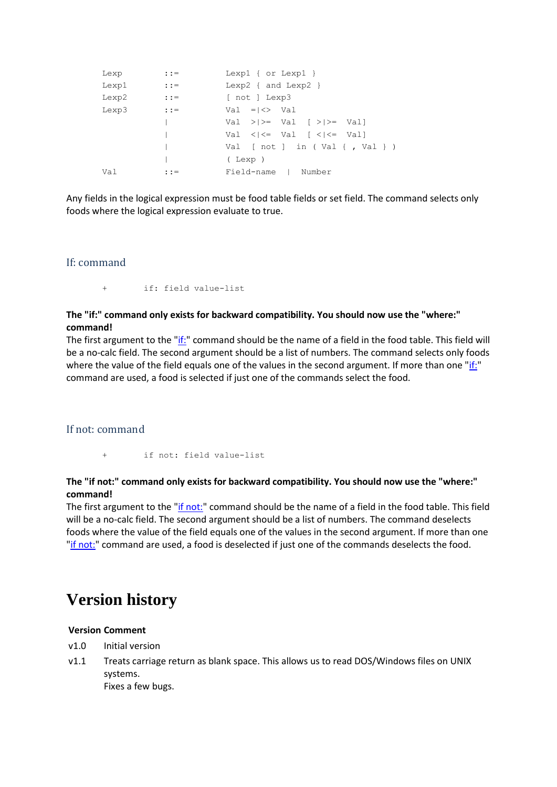| Lexp  | $: :=$        | Lexpl { $or$ Lexpl }                                                             |
|-------|---------------|----------------------------------------------------------------------------------|
| Lexp1 | $: : =$       | Lexp2 $\{$ and Lexp2 $\}$                                                        |
| Lexp2 | $\cdot : =$   | [ not ] Lexp3                                                                    |
| Lexp3 | $\cdot$ : $=$ | $Val = K > Val$                                                                  |
|       |               | Val $>>=$ Val $\left\{\rightarrow\right\}$ Vall                                  |
|       |               | Val $\langle \cdot   \cdot \rangle =$ Val $\langle \cdot   \cdot \rangle =$ Vall |
|       |               | Val [ $not$ ] in (Val {, Val })                                                  |
|       |               | (Lexp)                                                                           |
| Val   | $: :=$        | Field-name   Number                                                              |

Any fields in the logical expression must be food table fields or set field. The command selects only foods where the logical expression evaluate to true.

#### <span id="page-30-1"></span>If: command

+ if: field value-list

## **The "if:" command only exists for backward compatibility. You should now use the "where:" command!**

The first argument to the ["if:"](#page-30-1) command should be the name of a field in the food table. This field will be a no-calc field. The second argument should be a list of numbers. The command selects only foods where the value of the field equals one of the values in the second argument. If more than one ["if:"](#page-30-1) command are used, a food is selected if just one of the commands select the food.

#### <span id="page-30-2"></span>If not: command

if not: field value-list

#### **The "if not:" command only exists for backward compatibility. You should now use the "where:" command!**

The first argument to the ["if not:"](#page-30-2) command should be the name of a field in the food table. This field will be a no-calc field. The second argument should be a list of numbers. The command deselects foods where the value of the field equals one of the values in the second argument. If more than one ["if not:"](#page-30-2) command are used, a food is deselected if just one of the commands deselects the food.

# <span id="page-30-0"></span>**Version history**

#### **Version Comment**

- v1.0 Initial version
- v1.1 Treats carriage return as blank space. This allows us to read DOS/Windows files on UNIX systems. Fixes a few bugs.